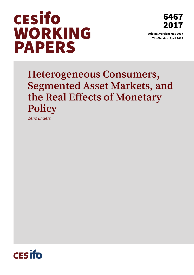

6467 2017 Original Version: May 2017

This Version: April 2018

**Heterogeneous Consumers, Segmented Asset Markets, and the Real Effects of Monetary Policy** 

*Zeno Enders* 

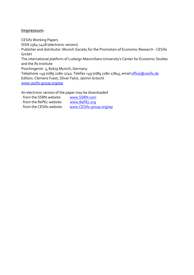### **Impressum:**

CESifo Working Papers ISSN 2364‐1428 (electronic version) Publisher and distributor: Munich Society for the Promotion of Economic Research ‐ CESifo GmbH The international platform of Ludwigs‐Maximilians University's Center for Economic Studies and the ifo Institute Poschingerstr. 5, 81679 Munich, Germany Telephone +49 (0)89 2180‐2740, Telefax +49 (0)89 2180‐17845, email office@cesifo.de Editors: Clemens Fuest, Oliver Falck, Jasmin Gröschl www.cesifo‐group.org/wp

An electronic version of the paper may be downloaded

- ∙ from the SSRN website: www.SSRN.com
- ∙ from the RePEc website: www.RePEc.org
- ∙ from the CESifo website: www.CESifo‐group.org/wp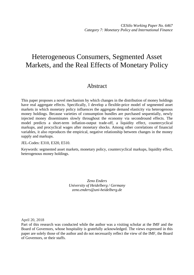# Heterogeneous Consumers, Segmented Asset Markets, and the Real Effects of Monetary Policy

# Abstract

This paper proposes a novel mechanism by which changes in the distribution of money holdings have real aggregate effects. Specifically, I develop a flexible-price model of segmented asset markets in which monetary policy influences the aggregate demand elasticity via heterogenous money holdings. Because varieties of consumption bundles are purchased sequentially, newly injected money disseminates slowly throughout the economy via secondround effects. The model predicts a short-term inflation-output trade-off, a liquidity effect, countercyclical markups, and procyclical wages after monetary shocks. Among other correlations of financial variables, it also reproduces the empirical, negative relationship between changes in the money supply and markups.

JEL-Codes: E310, E320, E510.

Keywords: segmented asset markets, monetary policy, countercyclical markups, liquidity effect, heterogenous money holdings.

> *Zeno Enders University of Heidelberg / Germany zeno.enders@uni-heidelberg.de*

April 20, 2018

Part of this research was conducted while the author was a visiting scholar at the IMF and the Board of Governors, whose hospitality is gratefully acknowledged. The views expressed in this paper are solely those of the author and do not necessarily reflect the view of the IMF, the Board of Governors, or their staffs.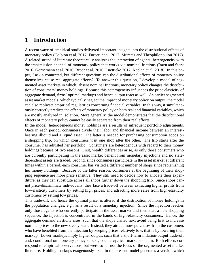# **1 Introduction**

A recent wave of empirical studies delivered important insights into the distributional effects of monetary policy [\(Coibion et al. 2017,](#page-34-0) [Furceri et al. 2017,](#page-35-0) [Mumtaz and Theophilopoulou 2017](#page-36-0)). A related strand of literature theoretically analyzes the interaction of agents' heterogeneity with the transmission channel of monetary policy that works via nominal frictions [\(Ravn and Sterk](#page-37-0) [2016,](#page-37-0) [Gornemann et al. 2016,](#page-35-1) [Broer et al. 2016,](#page-34-1) [Luetticke 2017,](#page-36-1) [Kaplan et al. 2018](#page-35-2)). In this paper, I ask a connected, but different question: can the distributional effects of monetary policy themselves cause real aggregate effects? To answer this question, I develop a model of segmented asset markets in which, absent nominal frictions, monetary policy changes the distribution of consumers' money holdings. Because this heterogeneity influences the price elasticity of aggregate demand, firms' optimal markups and hence output react as well. As earlier segmented asset market models, which typically neglect the impact of monetary policy on output, the model can also replicate empirical regularities concerning financial variables. In this way, it simultaneously correctly predicts the effects of monetary policy on both real and financial variables, which are mostly analyzed in isolation. More generally, the model demonstrates that the distributional effects of monetary policy cannot be easily separated from their real effects.

In the model, heterogeneous money holdings are a results of infrequent portfolio adjustments. Once in each period, consumers divide their labor and financial income between an interestbearing illiquid and a liquid asset. The latter is needed for purchasing consumption goods on a shopping trip, on which consumers visit one shop after the other. The trip starts after the consumer has adjusted her portfolio. Consumers are heterogenous with regard to their money holdings because of two reasons. First, wealth differences arise, as only those consumers who are currently participating in the asset market benefit from monetary injections and no statedependent assets are traded. Second, since consumers participate in the asset market at different times within a period, each consumer has visited a different number of shops since replenishing her money holdings. Because of the latter reason, consumers at the beginning of their shopping sequence are more price sensitive. They still need to decide how to allocate their expenditure, as they can substitute across all shops further down the shopping trip. Since shops cannot price-discriminate individually, they face a trade-off between extracting higher profits from low-elasticity customers by setting high prices, and attracting more sales from high-elasticity customers by setting low prices.

This trade-off, and hence the optimal price, is altered if the distribution of money holdings in the population changes, e.g., as a result of a monetary injection. Since the injection reaches only those agents who currently participate in the asset market and then start a new shopping sequence, the injection is concentrated in the hands of high-elasticity consumers. Hence, the aggregate demand elasticity rises, such that the shops visited next avoid being first to increase nominal prices to the new steady state. Instead, they attract more purchases from the customers who have benefited from the injection by keeping prices relatively low, that is by lowering their markup. Lower markups imply higher output, such that a short-term inflation-output trade-off and, conditional on monetary policy shocks, countercyclical markups obtain. Both effects correspond to empirical observations, but were so far not the focus of the segmented asset market literature. Holding markups exogenously fixed in the present model generates a version which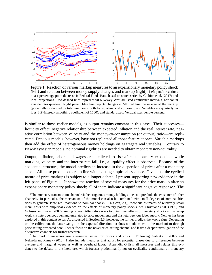

<span id="page-4-1"></span>Figure 1: Reaction of various markup measures to an expansionary monetary policy shock (left) and relation between money supply changes and markup (right). Left panel: reactions to a 1 percentage point decrease in Federal Funds Rate, based on shock series by [Coibion et al. \(2017\)](#page-34-0) and local projections. Red-dashed lines represent 90% Newey-West adjusted confidence intervals, horizontal axis denotes quarters. Right panel: blue line depicts changes in M1, red line the inverse of the markup (price deflator divided by total unit costs, both for non-financial corporations). Variables are quarterly, in logs, HP-filtered (smoothing coefficient of 1600), and standardized. Vertical axes denote percent.

is similar to those earlier models, as output remains constant in this case. Their successes liquidity effect, negative relationship between expected inflation and the real interest rate, negative correlation between velocity and the money-to-consumption (or output) ratio—are replicated. Previous models, however, have not replicated all those feature at once. Variable markups then add the effect of heterogeneous money holdings on aggregate real variables. Contrary to New-Keynesian models, no nominal rigidities are needed to obtain monetary non-neutrality.[1](#page-4-0)

Output, inflation, labor, and wages are predicted to rise after a monetary expansion, while markups, velocity, and the interest rate fall, i.e., a liquidity effect is observed. Because of the sequential structure, the model predicts an increase in the dispersion of prices after a monetary shock. All these predictions are in line with existing empirical evidence. Given that the cyclical nature of price markups is subject to a longer debate, I present supporting new evidence in the left panel of Figure [1.](#page-4-1) It shows the reaction of several measures for the price markup after an expansionary monetary policy shock; all of them indicate a significant negative response.<sup>[2](#page-4-2)</sup> The

<span id="page-4-0"></span><sup>&</sup>lt;sup>1</sup>The monetary transmission channel via heterogenous money holdings does not preclude the existence of other channels. In particular, the mechanism of the model can also be combined with small degrees of nominal frictions to generate large real reactions to nominal shocks. This can, e.g., reconcile estimates of relatively small menu costs with empirical evidence on the effects of monetary policy shocks, see [Christiano et al. \(1999\)](#page-34-2) and [Golosov and Lucas \(2007\)](#page-35-3), among others. Alternative ways to obtain real effects of monetary shocks in this setup work via heterogeneous demand unrelated to price movements and via heterogenous labor supply. Neither has been explored in this context so far. As discussed in Section [5.3,](#page-30-0) however, the former predicts the wrong sign. Depending on the calibration, the latter can go in the expected direction but does not add much to the mechanism through price setting presented here. I hence focus on the novel price-setting channel and leave a deeper investigation of the alternative channels for further research.

<span id="page-4-2"></span><sup>&</sup>lt;sup>2</sup>The markup measures use alternative series for prices and costs. Following Galí et al.  $(2007)$  and [Nekarda and Ramey \(2013\)](#page-36-2), I also include measures that adjust for potential biases due to differences between average and marginal wages as well as overhead labor. Appendix [G](#page-55-0) lists all measures and relates this evidence to the debate in the literature, which focuses predominantly not on cyclicality conditional on monetary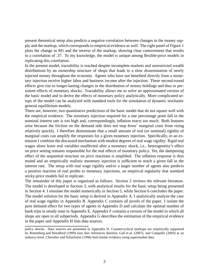present theoretical setup also predicts a negative correlation between changes in the money supply and the markup, which corresponds to empirical evidence as well. The right panel of Figure [1](#page-4-1) plots the change in M1 and the inverse of the markup, showing clear comovement that results in a correlation of .37. To my knowledge, the model is unique among flexible-price models in replicating this correlation.

In the present model, tractability is reached despite incomplete markets and unrestricted wealth distributions by an ownership structure of shops that leads to a slow dissemination of newly injected money throughout the economy. Agents who have not benefited directly from a monetary injection receive higher labor and business income after the injection. These second-round effects give rise to longer-lasting changes in the distribution of money holdings and thus to persistent effects of monetary shocks. Tractability allows me to solve an approximated version of the basic model and to derive the effects of monetary policy analytically. More complicated setups of the model can be analyzed with standard tools for the simulation of dynamic stochastic general equilibrium models.

There are, however, two quantitative predictions of the basic model that do not square well with the empirical evidence. The monetary injection required for a one percentage point fall in the nominal interest rate is too high and, correspondingly, inflation reacts too much. Both features arise because the friction on the demand side does not stop firms' marginal costs from rising relatively quickly. I therefore demonstrate that a small amount of real (or nominal) rigidity of marginal costs can amplify the responses for a given monetary injection. Specifically, in an extension I combine the discussed mechanism with modest degrees of real wage rigidity. Rigid real wages alone leave real variables unaffected after a monetary shock, i.e., heterogeneity's effect on price setting remains responsible for the real effects of monetary policy. Yet, the dampening effect of the sequential structure on price reactions is amplified. The inflation response is thus muted and an empirically realistic monetary injection is sufficient to reach a given fall in the interest rate. The setup with real wage rigidity and/or a larger number of agents also predicts a positive reaction of real profits to monetary injections, an empirical regularity that standard sticky-price models fail to replicate.

The remainder of this paper is organized as follows. Section [2](#page-6-0) reviews the relevant literature. The model is developed in Section [3,](#page-8-0) with analytical results for the basic setup being presented in Section [4.](#page-18-0) I simulate the model numerically in Section [5,](#page-22-0) while Section [6](#page-32-0) concludes the paper. The model solution for the basic setup is derived in Appendix [A.](#page-38-0) I analytically analyze the case of real wage rigidity in Appendix [B.](#page-43-0) Appendix [C](#page-46-0) contains all proofs of the paper. I isolate the pure demand effect for two types of agents in Appendix [D](#page-51-0) and calculate the optimal number of bank trips in steady state in Appendix [E.](#page-51-1) Appendix [F](#page-53-0) contains a version of the model in which all shops are open in all subperiods. Appendix [G](#page-55-0) describes the estimation of the empirical evidence in the paper and Appendix [H](#page-57-0) lists data sources.

policy shocks. Data sources are presented in Appendix [H.](#page-57-0) Countercyclical markups are empirically supported by [Rotemberg and Woodford \(1999](#page-37-1)) (see also references therein), Galí et al. (2007), and [Campello \(2003\)](#page-34-3) at an industry-level. [Chevalier and Scharfstein](#page-34-4) [\(1996\)](#page-34-4) find similar evidence using supermarket data.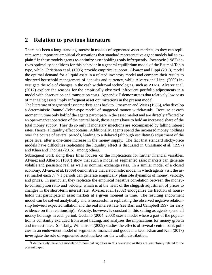# <span id="page-6-0"></span>**2 Relation to previous literature**

There has been a long-standing interest in models of segmented asset markets, as they can replicate some important empirical observations that standard representative-agent models fail to ex-plain.<sup>[3](#page-6-1)</sup> In these models agents re-optimize asset holdings only infrequently. [Jovanovic \(1982](#page-35-5)) derives optimality conditions for this behavior in a general equilibrium model of the Baumol-Tobin type, while [Christiano et al. \(1996](#page-34-5)) provide empirical support. [Alvarez and Lippi](#page-33-0) [\(2013\)](#page-33-0) model the optimal demand for a liquid asset in a related inventory model and compare their results to observed household management of deposits and currency, while [Alvarez and Lippi \(2009](#page-33-1)) investigate the role of changes in the cash withdrawal technologies, such as ATMs. [Alvarez et al.](#page-33-2) [\(2012\)](#page-33-2) explore the reasons for the empirically observed infrequent portfolio adjustments in a model with observation and transaction costs. Appendix [E](#page-51-1) demonstrates that relatively low costs of managing assets imply infrequent asset optimizations in the present model.

The literature of segmented asset markets goes back to [Grossman and Weiss \(1983](#page-35-6)), who develop a deterministic Baumol-Tobin-type model of staggered money withdrawals. Because at each moment in time only half of the agents participate in the asset market and are directly affected by an open-market operation of the central bank, those agents have to hold an increased share of the total money supply. They do so only if monetary injections are accompanied by falling interest rates. Hence, a liquidity effect obtains. Additionally, agents spend the increased money holdings over the course of several periods, leading to a delayed (although oscillating) adjustment of the price level after a one-time increase in the money supply. The fact that standard sticky-price models have difficulties replicating the liquidity effect is discussed in [Christiano et al. \(1997](#page-34-6)) and [Khan and Thomas](#page-35-7) [\(2015\)](#page-35-7), among others.

Subsequent work along these lines focuses on the implications for further financial variables. [Alvarez and Atkeson \(1997](#page-33-3)) show that such a model of segmented asset markets can generate volatile and persistent real as well as nominal exchange rates. In a similar model of a closed economy, [Alvarez et al. \(2009\)](#page-33-4) demonstrate that a stochastic model in which agents visit the asset market each  $N > 1$  periods can generate empirically plausible dynamics of money, velocity, and prices. In particular, they replicate the empirical negative correlation between the moneyto-consumption ratio and velocity, which is at the heart of the sluggish adjustment of prices to changes in the short-term interest rate. [Alvarez et al. \(2002](#page-33-5)) endogenize the fraction of households that participate in asset markets at a given moment in time. The resulting endowment model can be solved analytically and is successful in replicating the observed negative relationship between expected inflation and the real interest rate (see [Barr and Campbell 1997](#page-33-6) for early evidence on this relationship). Velocity, however, is constant in this setting as agents spend all money holdings in each period. [Occhino](#page-36-3) [\(2004,](#page-36-3) [2008\)](#page-36-4) uses a model where a part of the population is constantly excluded from asset trading, and analyzes the implications for money growth and interest rates. Similarly, [Williamson](#page-37-2) [\(2009\)](#page-37-2) studies the effects of several central bank policies in an endowment model of segmented financial and goods markets. [Khan and Kim \(2017](#page-35-8)) investigate the role of segmented asset markets for the wealth distribution.

<span id="page-6-1"></span> $3$ I deliberately leave out models with nominal rigidities in this overview, as they are less closely related to the present paper.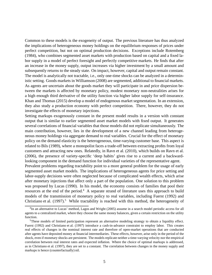Common to these models is the exogeneity of output. The previous literature has thus analyzed the implications of heterogeneous money holdings on the equilibrium responses of prices under perfect competition, but not on optimal production decisions. Exceptions include [Rotemberg](#page-37-3) [\(1984\)](#page-37-3), who combines segmented asset markets with production based on capital and a fixed labor supply in a model of perfect foresight and perfectly competitive markets. He finds that after an increase in the money supply, output increases via higher investment by a small amount and subsequently returns to the steady state. On impact, however, capital and output remain constant. The model is analytically not tractable, i.e., only one-time shocks can be analyzed in a deterministic setting. Goods markets in [Williamson \(2008](#page-37-4)) are segmented, additional to financial markets. As agents are uncertain about the goods market they will participate in and price dispersion between the markets is affected by monetary policy, modest monetary non-neutralities arises for a high enough third derivative of the utility function via higher labor supply for self-insurance. [Khan and Thomas \(2015](#page-35-7)) develop a model of endogenous market segmentation. In an extension, they also study a production economy with perfect competition. There, however, they do not investigate the effects of monetary injections.

Setting markups exogenously constant in the present model results in a version with constant output that is similar to earlier segmented asset market models with fixed output. It generates several correlations of financial variables that those models did not replicate simultaneously. The main contribution, however, lies in the development of a new channel leading from heterogeneous money holdings via aggregate demand to real variables. Crucial for the effect of monetary policy on the demand elasticity is the heterogeneous, time-varying customer base. This aspect is related to [Bils \(1989](#page-33-7)), where a monopolist faces a trade-off between extracting profits from loyal customers and attracting new ones. Relatedly, in [Ravn et al.](#page-36-5) [\(2010](#page-36-5)), which builds on [Ravn et al.](#page-36-6) [\(2006\)](#page-36-6), the presence of variety-specific 'deep habits' gives rise to a current and a backwardlooking component in the demand function for individual varieties of the representative agent. Prevalent problems regarding tractability point to a more general problem for the usage of early segmented asset market models. The implications of heterogeneous agents for price setting and labor-supply decisions were often neglected because of complicated wealth effects, which arise after monetary injections that affect only a part of the population. One solution to this problem was proposed by [Lucas](#page-36-7) [\(1990\)](#page-36-7). In his model, the economy consists of families that pool their resources at the end of the period.<sup>[4](#page-7-0)</sup> A separate strand of literature uses this approach to build models of the transmission of monetary policy to real variables, including [Fuerst \(1992](#page-35-9)) and Christiano et al.  $(1997)$ <sup>[5](#page-7-1)</sup>. While tractability is reached with this method, the heterogeneity of

<span id="page-7-0"></span><sup>&</sup>lt;sup>4</sup>In an alternative to Lucas' method, [Lagos and Wright \(2005](#page-36-8)) assume in a search model periodic access for all agents to a centralized market, where they choose the same money balances, given a certain restriction on the utility function.

<span id="page-7-1"></span><sup>5</sup>These models of limited participation represent an alternative modeling strategy to obtain a liquidity effect. [Fuerst \(1992\)](#page-35-9) and [Christiano et al.](#page-34-6) [\(1997\)](#page-34-6) introduce a cash-in-advance constraint to employ labor. This creates real effects of changes in the nominal interest rate and therefore of open-market operations that are conducted after agents have deposited money at financial intermediaries. These effects, however, arise only in the period of the shock, even if monetary shocks are persistent. The models replicate neither a time-varying velocity nor the empirical correlation between real interest rates and expected inflation. Where the choice of optimal markups is addressed, as in [Christiano et al. \(1997\)](#page-34-6), they are set to a constant. The correlation between changes in the money supply and markups is hence (counterfactually) nil.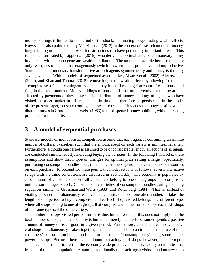money holdings is limited to the period of the shock, eliminating longer-lasting wealth effects. However, as also pointed out by [Menzio et al. \(2013](#page-36-9)) in the context of a search model of money, longer-lasting non-degenerate wealth distributions can have potentially important effects. This is also demonstrated by [Lippi et al. \(2015](#page-36-10)), who derive the optimal anticipated monetary policy in a model with a non-degenerate wealth distribution. The model is tractable because there are only two types of agents that exogenously switch between being productive and unproductive. State-dependent monetary transfers arrive at both agents symmetrically and money is the only savings vehicle. Within models of segmented asset market, [Alvarez et al.](#page-33-5) [\(2002\)](#page-33-5), [Alvarez et al.](#page-33-4) [\(2009\)](#page-33-4), and [Khan and Thomas \(2015](#page-35-7)) remove longer-run wealth effects by allowing for trade in a complete set of state-contingent assets that pay in the 'brokerage' account of each household (i.e., in the asset market). Money holdings of households that are currently not trading are not affected by payments of these assets. The distribution of money holdings of agents who have visited the asset market in different points in time can therefore be persistent. In the model of the present paper, no state-contingent assets are traded. This adds the longer-lasting wealth distributions as in [Grossman and Weiss](#page-35-6) [\(1983\)](#page-35-6) to the dispersed money holdings, without creating problems for tractability.

# <span id="page-8-0"></span>**3 A model of sequential purchases**

Standard models of monopolistic competition assume that each agent is consuming an infinite number of different varieties, such that the amount spent on each variety is infinitesimal small. Furthermore, although one period is assumed to be of considerable length, all actions of all agents are conducted simultaneously, including buying the varieties. In the following I will relax these assumptions and show that important changes for optimal price setting emerge. Specifically, purchasing consumption bundles takes time and customers spend positive amounts of resources on each purchase. To account for these points, the model setup is as follows (several alternative setups with the same conclusions are discussed in Section [3.5\)](#page-17-0). The economy is populated by a continuum of consumers, where all consumers belong to one of  $n$  groups that comprise a unit measure of agents each. Consumers buy varieties of consumption bundles during shopping sequences similar to [Grossman and Weiss \(1983](#page-35-6)) and [Rotemberg](#page-37-3) [\(1984\)](#page-37-3). That is, instead of visiting all shops simultaneously, each consumer visits  $n$  shops, one after another. It takes the length of one period to buy a complete bundle. Each shop visited belongs to a different type, where all shops belong to one of  $n$  groups that comprise a unit measure of shops each. All shops of the same type sell the same variety.

The number of shops visited per consumer is thus finite. Note that this does not imply that the total number of shops in the economy is finite, but merely that each consumer spends a positive amount of money on each good in a given period. Furthermore, consumers cannot visit several shops simultaneously. Taken together, this entails that shops can influence the price of their customers' consumption bundle and therefore customers' consumption, yielding some market power to shops. Because there is a continuum of each type of shops, however, a single representative shop has no impact on the economy-wide price level and serves only an infinitesimal fraction of the total population. Assuming additionally that each agent visits a random new shop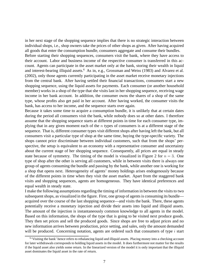in her next stage of the shopping sequence implies that there is no strategic interaction between individual shops, i.e., shop owners take the prices of other shops as given. After having acquired all goods that enter the consumption bundle, consumers aggregate and consume their bundles. Before starting their shopping sequences, consumers visit the bank, where they have access to their account. Labor and business income of the respective consumer is transferred in this account. Agents can participate in the asset market only at the bank, storing their wealth in liquid and interest-bearing illiquid assets.<sup>[6](#page-9-0)</sup> As in, e.g., [Grossman and Weiss](#page-35-6) [\(1983\)](#page-35-6) and [Alvarez et al.](#page-33-5) [\(2002\)](#page-33-5), only those agents currently participating in the asset market receive monetary injections from the central bank. After having settled their financial transactions, consumers start a new shopping sequence, using the liquid assets for payments. Each consumer (or another household member) works in a shop of the type that she visits last in her shopping sequence, receiving wage income in her bank account. In addition, the consumer owns the shares of a shop of the same type, whose profits also get paid in her account. After having worked, the consumer visits the bank, has access to her income, and the sequence starts over again.

Because it takes some time to acquire a consumption bundle, it is unlikely that at certain dates during the period all consumers visit the bank, while nobody does so at other dates. I therefore assume that the shopping sequence starts at different points in time for each consumer type, implying that in any given moment each of the  $n$  types of consumers is at a different stage of the sequence. That is, different consumer types visit different shops after having left the bank, but all consumers visit a particular type of shop at the same time, buying the type-specific variety. The shops cannot price discriminate between individual customers, such that from the shops' perspective, the setup is equivalent to an economy with a representative consumer and uncertainty about the current stage of her shopping sequence. Consequently, all prices are equal in steady state because of symmetry. The timing of the model is visualized in Figure [2](#page-10-0) for  $n = 3$ . One type of shop after the other is serving all customers, while in between visits there is always one group of agents consuming the bundle and passing by the bank, while another one is working for a shop that opens next. Heterogeneity of agents' money holdings arises endogenously because of the different points in time when they visit the asset market. Apart from the staggered bank visits and shopping sequences, agents are homogeneous. They have identical preferences and equal wealth in steady state.

I make the following assumptions regarding the timing of information in between the visits to two subsequent shops, as visualized in the figure. First, one group of agents is consuming its bundle acquired over the course of the last shopping sequence—and visits the bank. There, these agents potentially receive a monetary injection and divide their assets into liquid and illiquid assets. The amount of the injection is instantaneously common knowledge to all agents in the model. Based on this information, the shops of the type that is going to be visited next produce goods. They then set prices and sell the produced goods. Since shops are free to adjust prices and no new information arrives between production, price setting, and sales, only the amount demanded will be produced. Concerning notation, agents are ordered such that consumers of type  $i$  start

<span id="page-9-0"></span><sup>&</sup>lt;sup>6</sup>'Visiting the bank' hence refers to rebalancing liquid and illiquid assets. Placing money into a checking account for later withdrawals corresponds to holding liquid assets in the model. It does furthermore not matter for the results if the liquid asset also yields some return. In the linearized version of the model it is only important that the illiquid asset dominates the liquid asset in the rate of return.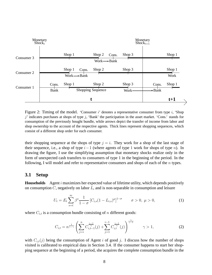

<span id="page-10-0"></span>Figure 2: Timing of the model. 'Consumer  $i$ ' denotes a representative consumer from type  $i$ , 'Shop j' indicates purchases at shops of type j, 'Bank' the participation in the asset market. 'Cons.' stands for consumption of the previously bought bundle, while arrows depict the transfer of income from labor and shop ownership to the account of the respective agents. Thick lines represent shopping sequences, which consist of a different shop order for each consumer.

their shopping sequence at the shops of type  $j = i$ . They work for a shop of the last stage of their sequence, i.e., a shop of type  $i-1$  (where agents of type 1 work for shops of type n). In drawing the figure, I use the simplifying assumption that monetary shocks realize only in the form of unexpected cash transfers to consumers of type 1 in the beginning of the period. In the following, I will model and refer to representative consumers and shops of each of the  $n$  types.

### **3.1 Setup**

**Households** Agent i maximizes her expected value of lifetime utility, which depends positively on consumption  $C$ , negatively on labor  $L$ , and is non-separable in consumption and leisure

<span id="page-10-1"></span>
$$
U_t = E_t \sum_{s=t}^{\infty} \beta^s \frac{1}{1-\sigma} \left[ C_{i,s} (1 - L_{i,s})^{\mu} \right]^{1-\sigma} \qquad \sigma > 0, \ \mu > 0,
$$
 (1)

where  $C_{i,t}$  is a consumption bundle consisting of n different goods:

<span id="page-10-2"></span>
$$
C_{i,t} = n^{\frac{1}{1-\gamma}} \left( \sum_{j=i}^{n} C_{i,t-1}^{\frac{\gamma-1}{\gamma}}(j) + \sum_{j=1}^{i-1} C_{i,t}^{\frac{\gamma-1}{\gamma}}(j) \right)^{\frac{\gamma}{\gamma-1}} \qquad \gamma > 1,
$$
 (2)

with  $C_{i,t}(j)$  being the consumption of Agent i of good j. I discuss how the number of shops visited is calibrated to empirical data in Section [3.4.](#page-16-0) If the consumer happens to start her shopping sequence at the beginning of a period, she acquires the complete consumption bundle in the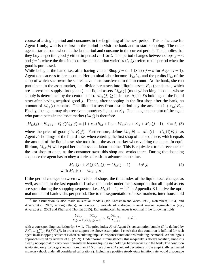course of a single period and consumes in the beginning of the next period. This is the case for Agent 1 only, who is the first in the period to visit the bank and to start shopping. The other agents started somewhere in the last period and consume in the current period. This implies that they buy a specific good j either in period  $t-1$  or t. The period changes between shops  $j = n$ and  $j = 1$ , where the time index of the consumption varieties  $C_{i,t}(j)$  refers to the period when the good is purchased.

While being at the bank, i.e., after having visited Shop  $j = i-1$  (Shop  $j = n$  for Agent  $i = 1$ ), Agent *i* has access to her account. Her nominal labor income  $W_{i,t}L_{i,t}$  and the profits  $\Pi_{i,t}$  of the shop of which she owns the shares have been transferred to this account. At the bank, she can participate in the asset market, i.e., divide her assets into illiquid assets  $B_{i,t}$  (bonds etc., which are in zero net supply throughout) and liquid assets  $M_{i,t}(j)$  (money/checking account, whose supply is determined by the central bank).  $M_{i,t}(j) \geq 0$  denotes Agent *i*'s holdings of the liquid asset after having acquired good  $j$ . Hence, after shopping in the first shop after the bank, an amount of  $M_{i,t}(i)$  remains. The illiquid assets from last period pay the amount  $(1 + r_{i,t})B_{i,t}$ . Finally, the agent may also receive a monetary injection  $S_{i,t}$ . The budget constraint of the agent who participates in the asset market  $(i=j)$  is therefore

<span id="page-11-1"></span>
$$
M_{i,t}(j) + B_{i,t+1} + P_t(j)C_{i,t}(j) = (1 + r_{i,t})B_{i,t} + \Pi_{i,t} + W_{i,t}L_{i,t} + S_{i,t} + M_{i,t}(j-1) \quad i = j, (3)
$$

where the price of good j is  $P_t(j)$ . Furthermore, define  $M_{i,t}(b) \equiv M_{i,t}(i) + C_{i,t}(i)P_t(i)$  as Agent i's holdings of the liquid asset when entering the first shop of her sequence, which equals the amount of the liquid asset she took from the asset market when visiting the bank. In equilibrium,  $M_{i,t}(b)$  will equal her business and labor income. This is equivalent to the revenues of the last shop to open, as the consumer owns this shop and works there. During the shopping sequence the agent has to obey a series of cash-in-advance constraints

<span id="page-11-2"></span>
$$
M_{i,t}(j) + P_t(j)C_{i,t}(j) = M_{i,t}(j-1) \qquad i \neq j,
$$
  
with 
$$
M_{i,t}(0) \equiv M_{i,t-1}(n).
$$
 (4)

If the period changes between two visits of shops, the time index of the liquid asset changes as well, as stated in the last equation. I solve the model under the assumption that all liquid assets are spent during the shopping sequence, i.e.,  $M_{i,t}(i-1) = 0$ .<sup>[7](#page-11-0)</sup> In Appendix [E](#page-51-1) I derive the optimal number of bank visits per period. Due to the segmentation of asset markets, inter-household

$$
\frac{U_{C_{i,t}}}{P_t(i-1)} \frac{\partial C_{i,t}}{\partial C_{i,t}(i-1)} > E_t \frac{U_{C_{i,t+1}}}{P_{i,t+1}} \qquad i \neq 1,
$$

<span id="page-11-0"></span> $7$ This assumption is also made in similar models (see [Grossman](#page-35-6) and Weiss [1983](#page-35-6), [Rotemberg 1984,](#page-37-3) and [Alvarez et al. 2009,](#page-33-4) among others), in contrast to models of endogenous asset market segmentation (e.g., [Alvarez et al. 2002](#page-33-5) and [Khan and Thomas 2015\)](#page-35-7). Exhausting cash balances is optimal if the following holds

with a corresponding restriction for  $i = 1$ . The price index  $P_i$  of Agent i's consumption bundle  $C_i$  is defined by  $P_iC_i \equiv \sum_{j=1}^n P_i(j)C_i(j)$ . In order to support the above assumption, I check that this condition is fulfilled for each agent in all shopping sequences when calculating impulse-response functions or simulating the model. An analogous approach is used by [Alvarez et al. \(2009](#page-33-4)). Under normal circumstances, this inequality is always satisfied, since it is clearly not optimal to carry over non-interest bearing liquid asset holdings between visits to the bank. The condition is violated only for large shocks (more than +4.5 or less than -2.4 standard deviations of the empirically estimated monetary shock under all considered calibrations). Including a positive steady-state inflation rate would discourage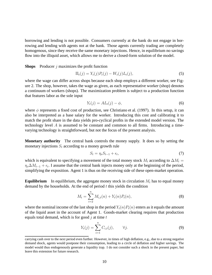borrowing and lending is not possible. Consumers currently at the bank do not engage in borrowing and lending with agents not at the bank. Those agents currently trading are completely homogenous, since they receive the same monetary injections. Hence, in equilibrium no savings flow into the illiquid asset, which allows me to derive a closed-form solution of the model.

**Shops** Producer *j* maximizes the profit function

<span id="page-12-1"></span>
$$
\Pi_t(j) = Y_t(j)P_t(j) - W_t(j)L_t(j),
$$
\n(5)

where the wage can differ across shops because each shop employs a different worker, see Figure [2.](#page-10-0) The shop, however, takes the wage as given, as each representative worker (shop) denotes a continuum of workers (shops). The maximization problem is subject to a production function that features labor as the sole input

<span id="page-12-3"></span>
$$
Y_t(j) = AL_t(j) - \phi,\tag{6}
$$

where  $\phi$  represents a fixed cost of production, see [Christiano et al. \(1997](#page-34-6)). In this setup, it can also be interpreted as a base salary for the worker. Introducing this cost and calibrating it to match the profit share in the data yields pro-cyclical profits in the extended model version. The technology level A is assumed to be constant and common to all firms. Introducing a timevarying technology is straightforward, but not the focus of the present analysis.

**Monetary authority** The central bank controls the money supply. It does so by setting the monetary injections  $S_t$  according to a money growth rule

$$
S_t = \eta_s S_{t-1} + \epsilon_t,\tag{7}
$$

which is equivalent to specifying a movement of the total money stock  $M_t$  according to  $\Delta M_t$  =  $\eta_s \Delta M_{t-1} + \epsilon_t$ . I assume that the central bank injects money only at the beginning of the period, simplifying the exposition. Agent 1 is thus on the receiving side of these open-market operation.

**Equilibrium** In equilibrium, the aggregate money stock in circulation  $M_t$  has to equal money demand by the households. At the end of period  $t$  this yields the condition

<span id="page-12-2"></span>
$$
M_t = \sum_{i=2}^{n} M_{i,t}(n) + Y_t(n)P_t(n),
$$
\n(8)

where the nominal income of the last shop in the period  $Y_t(n)P_t(n)$  enters as it equals the amount of the liquid asset in the account of Agent 1. Goods-market clearing requires that production equals total demand, which is for good  $j$  at time  $t$ 

<span id="page-12-0"></span>
$$
Y_t(j) = \sum_{i=1}^n C_{i,t}(j), \qquad \forall j.
$$
\n(9)

carrying cash over to the next period even further. However, in times of high deflation, e.g., due to a strong negative demand shock, agents would postpone their consumption, leading to a circle of deflation and higher savings. The model would thus endogenously generate a liquidity trap. I do not consider such a shock in the present paper, but leave this extension for future research.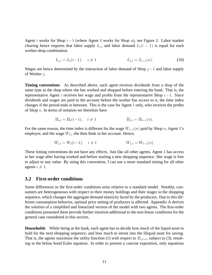Agent i works for Shop i−1 (where Agent 1 works for Shop n), see Figure [2.](#page-10-0) Labor market clearing hence requires that labor supply  $L_{i,t}$  and labor demand  $L_t(i - 1)$  is equal for each worker-shop combination

$$
L_{i,t} = L_t(i-1), \quad i \neq 1 \qquad L_{1,t} = L_{t-1}(n). \tag{10}
$$

Wages are hence determined by the interaction of labor demand of Shop  $j-1$  and labor supply of Worker j.

**Timing conventions** As described above, each agent receives dividends from a shop of the same type as the shop where she has worked and shopped before entering the bank. That is, the representative Agent i receives her wage and profits from the representative Shop  $i-1$ . Since dividends and wages are paid to the account before the worker has access to it, the time index changes if the period ends in between. This is the case for Agent 1 only, who receives the profits of Shop  $n$ . In terms of notation we therefore have

$$
\Pi_{i,t} = \Pi_t(i-1), \quad i \neq 1
$$
\n $\Pi_{1,t} = \Pi_{t-1}(n).$ 

For the same reason, the time index is different for the wage  $W_{t-1}(n)$  paid by Shop n, Agent 1's employer, and the wage  $W_{1,t}$  she then finds in her account. Hence,

$$
W_{i,t} = W_t(i-1), \quad i \neq 1 \qquad W_{1,t} = W_{t-1}(n).
$$

These timing conventions do not have any effects. Just like all other agents, Agent 1 has access to her wage after having worked and before starting a new shopping sequence. Her wage is free to adjust to any value. By using this convention, I can use a more standard timing for all other agents  $i \neq 1$ .

### **3.2 First-order conditions**

Some differences in the first-order conditions arise relative to a standard model. Notably, consumers are heterogeneous with respect to their money holdings and their stages in the shopping sequence, which changes the aggregate demand elasticity faced by the producers. Due to this different consumption behavior, optimal price setting of producers is affected. Appendix [A](#page-38-0) derives the solution of a simplified and linearized version of the model with two agents. The first-order conditions presented there provide further intuition additional to the non-linear conditions for the general case considered in this section.

**Households** While being at the bank, each agent has to decide how much of the liquid asset to hold for the next shopping sequence, and how much to invest into the illiquid asset for saving. That is, the agents maximize the utility function [\(1\)](#page-10-1) with respect to  $B_{i,t+1}$ , subject to [\(3\)](#page-11-1), resulting in the below bond Euler equation. In order to present a concise exposition, only equations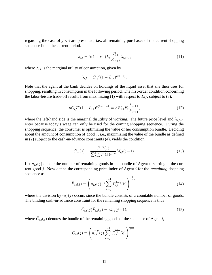regarding the case of  $j < i$  are presented, i.e., all remaining purchases of the current shopping sequence lie in the current period.

<span id="page-14-4"></span>
$$
\lambda_{i,t} = \beta (1 + r_{i,t}) E_t \frac{P_{i,t}}{P_{i,t+1}} \lambda_{i,t+1},
$$
\n(11)

where  $\lambda_{i,t}$  is the marginal utility of consumption, given by

$$
\lambda_{i,t} = C_{i,t}^{-\sigma} (1 - L_{i,t})^{\mu(1-\sigma)}.
$$

Note that the agent at the bank decides on holdings of the liquid asset that she then uses for shopping, resulting in consumption in the following period. The first-order condition concerning the labor-leisure trade-off results from maximizing [\(1\)](#page-10-1) with respect to  $L_{i,t}$ , subject to [\(3\)](#page-11-1).

<span id="page-14-3"></span>
$$
\mu C_{i,t}^{1-\sigma} (1 - L_{i,t})^{\mu(1-\sigma)-1} = \beta W_{i,t} E_t \frac{\lambda_{i,t+1}}{P_{i,t+1}},
$$
\n(12)

where the left-hand side is the marginal disutility of working. The future price level and  $\lambda_{i,t+1}$ enter because today's wage can only be used for the coming shopping sequence. During the shopping sequence, the consumer is optimizing the value of her consumption bundle. Deciding about the amount of consumption of good  $j$ , i.e., maximizing the value of the bundle as defined in [\(2\)](#page-10-2) subject to the cash-in-advance constraints [\(4\)](#page-11-2), yields the condition

<span id="page-14-0"></span>
$$
C_{i,t}(j) = \frac{P_t^{-\gamma}(j)}{\sum_{k=j}^{i-1} P_t(k)^{1-\gamma}} M_{i,t}(j-1).
$$
\n(13)

Let  $n_{i,t}(j)$  denote the number of remaining goods in the bundle of Agent i, starting at the current good j. Now define the corresponding price index of Agent i for the *remaining* shopping sequence as

<span id="page-14-2"></span>
$$
\bar{P}_{i,t}(j) \equiv \left( n_{i,t}(j)^{-1} \sum_{k=j}^{i-1} P_{i,t}^{1-\gamma}(k) \right)^{\frac{1}{1-\gamma}}, \qquad (14)
$$

where the division by  $n_{i,t}(j)$  occurs since the bundle consists of a countable number of goods. The binding cash-in-advance constraint for the remaining shopping sequence is thus

<span id="page-14-1"></span>
$$
\bar{C}_{i,t}(j)\bar{P}_{i,t}(j) = M_{i,t}(j-1),\tag{15}
$$

where  $\bar{C}_{i,t}(j)$  denotes the bundle of the remaining goods of the sequence of Agent i,

$$
\bar{C}_{i,t}(j) \equiv \left( n_{i,t}^{-\frac{1}{\gamma}}(j) \sum_{k=j}^{i-1} C_{i,t}^{\frac{\gamma-1}{\gamma}}(k) \right)^{\frac{\gamma}{\gamma-1}}.
$$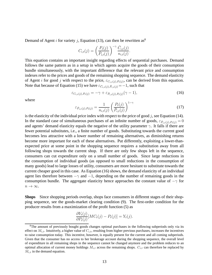Demand of Agent *i* for variety *j*, Equation [\(13\)](#page-14-0), can then be rewritten as<sup>[8](#page-15-0)</sup>

$$
C_{i,t}(j) = \left(\frac{P_t(j)}{\overline{P}_{i,t}(j)}\right)^{-\gamma} \frac{\overline{C}_{i,t}(j)}{n_{i,t}(j)}.
$$

This equation contains an important insight regarding effects of sequential purchases. Demand follows the same pattern as in a setup in which agents acquire the goods of their consumption bundle simultaneously, with the important difference that the relevant price and consumption indexes refer to the prices and goods of the remaining shopping sequence. The demand elasticity of Agent *i* for good *j* with respect to the price,  $\varepsilon_{C_{i,t}(j),P_t(j)}$ , can be derived from this equation. Note that because of Equation [\(15\)](#page-14-1) we have  $\varepsilon_{\bar{C}_{i,t}(j),\bar{P}_{i,t}(j)} = -1$ , such that

<span id="page-15-1"></span>
$$
\varepsilon_{C_{i,t}(j),P_t(j)} = -\gamma + \varepsilon_{\bar{P}_{i,t}(j),P_t(j)}(\gamma - 1),\tag{16}
$$

where

<span id="page-15-2"></span>
$$
\varepsilon_{\bar{P}_{i,t}(j),P_t(j)} = \frac{1}{n_{i,t}(j)} \left(\frac{P_t(j)}{\bar{P}_{i,t}(j)}\right)^{1-\gamma} \tag{17}
$$

is the elasticity of the individual price index with respect to the price of good  $j$ , see Equation [\(14\)](#page-14-2). In the standard case of simultaneous purchases of an infinite number of goods,  $\varepsilon_{\bar{P}_{i,t}(j),P_t(j)} = 0$ and agents' demand elasticity equals the negative of the utility parameter  $\gamma$ . It falls if there are fewer potential substitutes, i.e., a finite number of goods. Substituting towards the current good becomes less attractive with a lower number of remaining alternatives, as diminishing returns become more important for each of these alternatives. Put differently, exploiting a lower-thanexpected price at some point in the shopping sequence requires a substitution away from all following shops towards the current shop. If there are only few shops left in the sequence, consumers can cut expenditure only on a small number of goods. Since large reductions in the consumption of individual goods (as opposed to small reductions in the consumption of many goods) lead to large losses of utility, consumers are more hesitant to substitute towards the current cheaper good in this case. As Equation [\(16\)](#page-15-1) shows, the demand elasticity of an individual agent lies therefore between  $-\gamma$  and  $-1$ , depending on the number of remaining goods in the consumption bundle. The aggregate elasticity hence approaches the constant value of  $-\gamma$  for  $n \to \infty$ .

**Shops** Since shopping periods overlap, shops face consumers in different stages of their shopping sequence, see the goods-market clearing condition [\(9\)](#page-12-0). The first-order condition for the producer results from a maximization of the profit function [\(5\)](#page-12-1) as

$$
\frac{\partial Y_t(j)}{\partial P_t(j)}[MC_t(j) - P_t(j)] = Y_t(j).
$$

<span id="page-15-0"></span><sup>&</sup>lt;sup>8</sup>The amount of previously bought goods changes optimal purchases in the following subperiods only via its effect on  $M_{i,t}$ . Intuitively, a higher value of  $C_{i,t}$ , resulting from higher previous purchases, increases the incentives to raise consumption today. This incentive, however, is equally present for the current and all coming subperiods. Given that the consumer has no access to her brokerage account during the shopping sequence, the overall level of expenditure in all remaining shops in the sequence cannot be changed anymore and the problem reduces to an optimal allocation of current money holdings  $M_{i,t}$  across the remaining shops.  $C_{i,t}$  can therefore be replaced by  $M_{i,t}$  in the demand equation.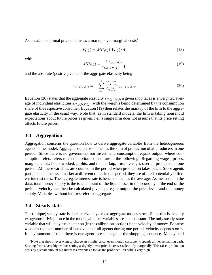As usual, the optimal price obtains as a markup over marginal costs<sup>[9](#page-16-1)</sup>

<span id="page-16-4"></span>
$$
P_t(j) = MU_t(j)W_t(j)/A,
$$
\n(18)

with

<span id="page-16-3"></span>
$$
MU_t(j) = \frac{\varepsilon_{C_t(j), P_t(j)}}{\varepsilon_{C_t(j), P_t(j)} - 1}
$$
\n(19)

and the absolute (positive) value of the aggregate elasticity being

<span id="page-16-2"></span>
$$
\varepsilon_{C_t(j),P_t(j)} = -\sum_{i=1}^n \frac{C_{i,t}(j)}{C_t(j)} \varepsilon_{C_{i,t}(j),P_t(j)}.
$$
\n(20)

Equation [\(20\)](#page-16-2) states that the aggregate elasticity  $\varepsilon_{C_t(j),P_t(j)}$  a given shop faces is a weighted average of individual elasticities  $\varepsilon_{C_{i,t}(j),P_t(j)}$ , with the weights being determined by the consumption share of the respective consumer. Equation [\(19\)](#page-16-3) then relates the markup of the firm to the aggregate elasticity in the usual way. Note that, as in standard models, the firm is taking household expectations about future prices as given, i.e., a single firm does not assume that its price setting affects future prices.

### **3.3 Aggregation**

Aggregation concerns the question how to derive aggregate variables from the heterogeneous agents in the model. Aggregate output is defined as the sum of production of all producers in one period. Since there is no government nor investment, consumption equals output, where consumption refers refers to consumption expenditure in the following. Regarding wages, prices, marginal costs, hours worked, profits, and the markup, I use averages over all producers in one period. All these variables are counted in the period when production takes place. Since agents participate in the asset market at different times in one period, they are offered potentially different interest rates. The aggregate interest rate is hence defined as the average. As measured in the data, total money supply is the total amount of the liquid asset in the economy at the end of the period. Velocity can then be calculated given aggregate output, the price level, and the money supply. Variables without indexes refer to aggregates.

### <span id="page-16-0"></span>**3.4 Steady state**

The (unique) steady state is characterized by a fixed aggregate money stock. Since this is the only exogenous driving force in the model, all other variables are also constant. The only steady-state variable that will play a role later on (in the calibration section) is the velocity of money. Because  $n$  equals the total number of bank visits of all agents during one period, velocity depends on  $n$ . In any moment of time there is one agent in each stage of the shopping sequence. Money held

<span id="page-16-1"></span><sup>&</sup>lt;sup>9</sup>Note that shops never want to charge an infinite price, even though customer  $n$  spends all her remaining cash. Starting from a very high value, setting a slightly lower price increases sales only marginally. This raises production costs by a small amount but increases revenues a lot, as the profit per unit sold is very high.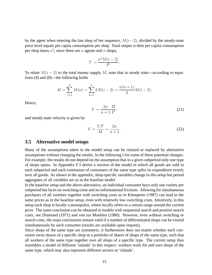by the agent when entering the last shop of her sequence,  $M(i-2)$ , divided by the steady-state price level equals per capita consumption per shop. Total output is then per capita consumption per shop times  $n^2$ , since there are n agents and n shops,

$$
Y = \frac{n^2 M(i-2)}{P}.
$$

To relate  $M(i-2)$  to the total money supply M, note that in steady state—according to equations [\(4\)](#page-11-2) and [\(8\)](#page-12-2)—the following holds

$$
M = \sum_{j=1}^{n} M(n) = \sum_{k=1}^{n} k M(i-2) = \frac{n(n+1)}{2} M(i-2).
$$

Hence,

<span id="page-17-2"></span>
$$
Y = \frac{2n}{n+1} \frac{M}{P},\tag{21}
$$

and steady-state velocity is given by

<span id="page-17-1"></span>
$$
V = \frac{YP}{M} = \frac{2n}{n+1}.\tag{22}
$$

### <span id="page-17-0"></span>**3.5 Alternative model setups**

Many of the assumptions taken in the model setup can be relaxed or replaced by alternative assumptions without changing the results. In the following I list some of these potential changes. For example, the results do not depend on the assumption that in a given subperiod only one type of shops opens. In Appendix [F](#page-53-0) I derive a version of the model in which all goods are sold in each subperiod and each continuum of consumers of the same type splits its expenditure evenly over all goods. As shown in the appendix, shop-specific variables change in this setup but period aggregates of all variables are as in the baseline model.

In the baseline setup and the above alternative, an individual consumer buys only one variety per subperiod but faces no switching costs and no informational frictions. Allowing for simultaneous purchases of all varieties together with switching costs as in [Klemperer](#page-35-10) [\(1987\)](#page-35-10) can lead to the same prices as in the baseline setup, even with relatively low switching costs. Intuitively, in this setup each shop is locally a monopolist, where locally refers to a certain range around the current price. The same conclusion can be obtained in models with sequential search and positive search costs, see [Diamond](#page-34-7) [\(1971\)](#page-34-7) and [von zur Muehlen \(1980\)](#page-37-5). However, even without switching or search costs, the main conclusions remain valid if a number of differentiated shops can be visited simultaneously by each consumer (results are available upon request).

Since shops of the same type are symmetric, it furthermore does not matter whether each consumer owns shares of a specific shop or a portfolio of shares of shops of the same type, such that all workers of the same type together own all shops of a specific type. The current setup thus resembles a model of different 'islands' in this respect: workers work for and own shops of the same type, which may also represent different sectors or 'islands'.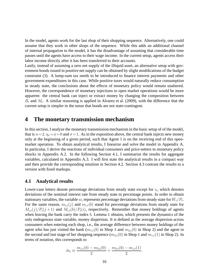In the model, agents work for the last shop of their shopping sequence. Alternatively, one could assume that they work in other shops of the sequence. While this adds an additional channel of internal propagation to the model, it has the disadvantage of assuming that considerable time passes until the agents have access to their wage income. In the current setup, agents access their labor income directly after it has been transferred to their accounts.

Lastly, instead of assuming a zero net supply of the illiquid asset, an alternative setup with government bonds issued in positive net supply can be obtained by slight modifications of the budget constraint [\(3\)](#page-11-1). A lump-sum tax needs to be introduced to finance interest payments and other government expenditures in this case. While positive taxes would naturally reduce consumption in steady state, the conclusions about the effects of monetary policy would remain unaltered. However, the correspondence of monetary injections to open market operations would be more apparent: the central bank can inject or extract money by changing the composition between  $B_t$  and  $M_t$ . A similar reasoning is applied in [Alvarez et al.](#page-33-4) [\(2009\)](#page-33-4), with the difference that the current setup is simpler in the sense that bonds are not state-contingent.

## <span id="page-18-0"></span>**4 The monetary transmission mechanism**

In this section, I analyze the monetary transmission mechanism in the basic setup of of the model, that is  $n=2$ ,  $\eta_s = \phi = 0$  and  $\sigma = 1$ . As in the exposition above, the central bank injects new money only at the beginning of a given period, such that Agent 1 is on the receiving end of this openmarket operation. To obtain analytical results, I linearize and solve the model in Appendix [A.](#page-38-0) In particular, I derive the reactions of individual consumers and price-setters to monetary policy shocks in Appendix [A.2.](#page-41-0) In the following Section [4.1,](#page-18-1) I summarize the results for aggregate variables, calculated in Appendix [A.3.](#page-42-0) I will first state the analytical results in a compact way and then provide the corresponding intuition in Section [4.2.](#page-20-0) Section [4.3](#page-21-0) contrast the results to a version with fixed markups.

### <span id="page-18-1"></span>**4.1 Analytical results**

Lower-case letters denote percentage deviations from steady state except for  $i_t$ , which denotes deviations of the nominal interest rate from steady state in percentage points. In order to obtain stationary variables, the variable  $w_t$  represents percentage deviations from steady state for  $W_t/P_t$ . For the same reason,  $m_{i,t}(j)$  and  $m_{i,t}(b)$  stand for percentage deviations from steady state for  $M_{i,t}(j)/P_t(j+1)$  and  $M_{i,t}(b)/P_t(i)$ , respectively. Remember that money holdings of agents when leaving the bank carry the index b. Lemma [1](#page-19-0) obtains, which presents the dynamics of the only endogenous state variable, money dispersion. It is defined as the average dispersion across consumers when entering each shop, i.e., the average difference between money holdings of the agent who has just visited the bank  $(m_{1,t}(b)$  in Shop 1 and  $m_{2,t}(b)$  in Shop 2) and the agent in the second and last stage of her shopping sequence  $(m_{2,t}(0)$  in Shop 1 and  $m_{1,t}(1)$  in Shop 2). In terms of notation, this corresponds to

$$
\hat{m}_t \equiv \frac{m_{1,t}(b) - m_{2,t}(0)}{2} + \frac{m_{2,t}(b) - m_{1,t}(1)}{2}.
$$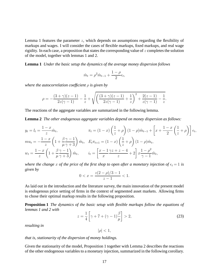Lemma [1](#page-19-0) features the parameter  $z$ , which depends on assumptions regarding the flexibility of markups and wages. I will consider the cases of flexible markups, fixed markups, and real wage rigidity. In each case, a proposition that states the corresponding value of  $z$  completes the solution of the model, together with lemmas [1](#page-19-0) and [2.](#page-19-1)

**Lemma 1** *Under the basic setup the dynamics of the average money dispersion follows*

<span id="page-19-1"></span><span id="page-19-0"></span>
$$
\hat{m}_t = \rho^2 \hat{m}_{t-1} + \frac{1-\rho}{2} \epsilon_t,
$$

*where the autocorrelation coefficient* ρ *is given by*

$$
\rho = -\frac{(3+\gamma)(z-1)}{2z(\gamma-1)} - \frac{1}{z} + \sqrt{\left(\frac{(3+\gamma)(z-1)}{2z(\gamma-1)} + \frac{1}{z}\right)^2 + \frac{2(z-1)}{z(\gamma-1)} - \frac{1}{z}}.
$$

The reactions of the aggregate variables are summarized in the following lemma.

**Lemma 2** *The other endogenous aggregate variables depend on money dispersion as follows:*

$$
y_t = l_t = \frac{1-x}{z}\hat{m}_t, \qquad \pi_t = (1-x)\left(\frac{1}{z} + \rho\right)(1-\rho)\hat{m}_{t-1} + \left[x + \frac{1-x}{2}\left(\frac{1}{z} + \rho\right)\right]\epsilon_t,
$$
  
\n
$$
m u_t = -\frac{1-x}{z}\left(1 + \frac{\beta\gamma - 1}{\mu\gamma + 3}\right)\hat{m}_t, \quad E_t \pi_{t+1} = (1-x)\left(\frac{1}{z} + \rho\right)(1-\rho)\hat{m}_t,
$$
  
\n
$$
w_t = \frac{1-x}{z}\left(1 + \frac{\beta\gamma - 1}{\mu\gamma + 3}\right)\hat{m}_t, \qquad i_t = \left[\frac{x-1\gamma z + z - 4}{x} + 2\right]x\frac{1-\rho^2}{\gamma - 1}\hat{m}_t,
$$

*where the change* x of the price of the first shop to open after a monetary injection of  $\epsilon_t = 1$  is *given by*

$$
0 < x = \frac{z(2-\rho)/3 - 1}{z - 1} < 1.
$$

As laid out in the introduction and the literature survey, the main innovation of the present model is endogenous price setting of firms in the context of segmented asset markets. Allowing firms to chose their optimal markup results in the following proposition.

**Proposition 1** *The dynamics of the basic setup with flexible markups follow the equations of lemmas [1](#page-19-0) and [2](#page-19-1) with*

<span id="page-19-4"></span>
$$
z = \frac{1}{4} \left[ \gamma + 7 + (\gamma - 1)\frac{\beta}{\mu} \right] > 2,\tag{23}
$$

*resulting in*

<span id="page-19-3"></span><span id="page-19-2"></span> $|\rho| < 1$ ,

*that is, stationarity of the dispersion of money holdings.*

Given the stationarity of the model, Proposition [1](#page-19-2) together with Lemma [2](#page-19-1) describes the reactions of the other endogenous variables to a monetary injection, summarized in the following corollary.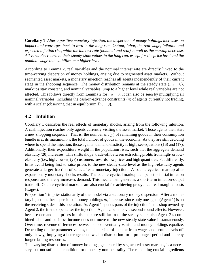**Corollary 1** *After a positive monetary injection, the dispersion of money holdings increases on impact and converges back to zero in the long run. Output, labor, the real wage, inflation and expected inflation rise, while the interest rate (nominal and real) as well as the markup decrease. All variables return to their steady-state values in the long run, except for the price level and the nominal wage that stabilize on a higher level.*

According to Lemma [2,](#page-19-1) real variables and the nominal interest rate are directly linked to the time-varying dispersion of money holdings, arising due to segmented asset markets. Without segmented asset markets, a monetary injection reaches all agents independently of their current stage in the shopping sequence. The money distribution remains at the steady state  $(\hat{m}_t = 0)$ , markups stay constant, and nominal variables jump to a higher level while real variables are not affected. This follows directly from Lemma [2](#page-19-1) for  $\hat{m}_t = 0$ . It can also be seen by multiplying all nominal variables, including the cash-in-advance constraints [\(4\)](#page-11-2) of agents currently not trading, with a scalar (observing that in equilibrium  $B_{i,t}=0$ ).

### <span id="page-20-0"></span>**4.2 Intuition**

Corollary [1](#page-19-3) describes the real effects of monetary shocks, arising from the following intuition. A cash injection reaches only agents currently visiting the asset market. Those agents then start a new shopping sequence. That is, the number  $n_{i,t}(j)$  of remaining goods in their consumption bundle is at its maximum  $n$ , the total number of goods in the economy. As they are still deciding where to spend the injection, those agents' demand elasticity is high, see equations [\(16\)](#page-15-1) and [\(17\)](#page-15-2). Additionally, their expenditure weight in the population rises, such that the aggregate demand elasticity [\(20\)](#page-16-2) increases. This shifts shops' trade-off between extracting profits from high- or lowelasticity (i.e., high/low  $n_{i,t}(j)$ ) customers towards low prices and high quantities. Put differently, firms avoid being first to raise prices to the new steady-state level as the high-elasticity agents generate a larger fraction of sales after a monetary injection. A countercyclical markup after expansionary monetary shocks results. The countercyclical markup dampens the initial inflation response and thereby increases demand. This mechanism generates a short-term inflation-output trade-off. Countercyclical markups are also crucial for achieving procyclical real marginal costs (wages).

Proposition [1](#page-19-2) implies stationarity of the model via a stationary money dispersion. After a monetary injection, the dispersion of money holdings  $\hat{m}_t$  increases since only one agent (Agent 1) is on the receiving side of this operation. As Agent 1 spends parts of the injection in the shop owned by Agent 2, the first to open after the injection, Agent 2 benefits via second-round effects. However, because demand and prices in this shop are still far from the steady state, also Agent 2's combined labor and business income does not move to the new steady-state value instantaneously. Over time, revenue differences between shops eventually vanish and money holdings equalize. Depending on the parameter values, the dispersion of income from wages and profits levels off only slowly, implying a heterogeneous wealth distribution for a prolonged period and thereby longer-lasting responses.

This varying distribution of money holdings, generated by segmented asset markets, is a necessary, but not sufficient condition for monetary non-neutrality. The remaining crucial ingredients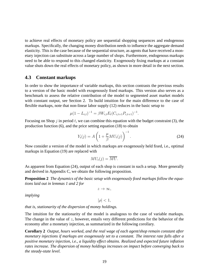to achieve real effects of monetary policy are sequential shopping sequences and endogenous markups. Specifically, the changing money distribution needs to influence the aggregate demand elasticity. This is the case because of the sequential structure, as agents that have received a monetary injection can substitute across a large number of shops. Furthermore, endogenous markups need to be able to respond to this changed elasticity. Exogenously fixing markups at a constant value shuts down the real effects of monetary policy, as shown in more detail in the next section.

### <span id="page-21-0"></span>**4.3 Constant markups**

In order to show the importance of variable markups, this section contrasts the previous results to a version of the basic model with exogenously fixed markups. This version also serves as a benchmark to assess the relative contribution of the model to segmented asset market models with constant output, see Section [2.](#page-6-0) To build intuition for the main difference to the case of flexible markups, note that non-linear labor supply [\(12\)](#page-14-3) reduces in the basic setup to

$$
\mu (1 - L_{i,t})^{-1} = \beta W_{i,t} E_t (C_{i,t+1} P_{i,t+1})^{-1}
$$

Focusing on Shop  $j$  in period  $t$ , we can combine this equation with the budget constraint [\(3\)](#page-11-1), the production function [\(6\)](#page-12-3), and the price setting equation [\(18\)](#page-16-4) to obtain

<span id="page-21-1"></span>
$$
Y_t(j) = A\left(1 + \frac{\mu}{\beta}MU_t(j)\right)^{-1}.
$$
\n(24)

.

Now consider a version of the model in which markups are exogenously held fixed, i.e., optimal markups in Equation [\(19\)](#page-16-3) are replaced with

$$
MU_t(j) = \overline{MU}.
$$

As apparent from Equation [\(24\)](#page-21-1), output of each shop is constant in such a setup. More generally and derived in Appendix [C,](#page-46-0) we obtain the following proposition.

**Proposition 2** *The dynamics of the basic setup with exogenously fixed markups follow the equations laid out in lemmas [1](#page-19-0) and [2](#page-19-1) for*

<span id="page-21-3"></span> $z \rightarrow \infty$ ,

*implying*

<span id="page-21-2"></span>
$$
|\rho| < 1,
$$

*that is, stationarity of the dispersion of money holdings.*

The intuition for the stationarity of the model is analogous to the case of variable markups. The change in the value of  $z$ , however, entails very different predictions for the behavior of the economy after a monetary injection, as summarized in the following corollary.

**Corollary 2** *Output, hours worked, and the real wage of each agent/shop remain constant after monetary injections if markups are exogenously set to a constant. The interest rate falls after a positive monetary injection, i.e., a liquidity effect obtains. Realized and expected future inflation rates increase. The dispersion of money holdings increases on impact before converging back to the steady-state level.*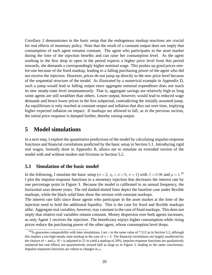Corollary [2](#page-21-2) demonstrates in the basic setup that the endogenous markup reactions are crucial for real effects of monetary policy. Note that the result of a constant output does not imply that consumption of each agent remains constant. The agent who participates in the asset market during the time of the injection benefits and can raise her consumption level. As the agent working in the first shop to open in the period expects a higher price level from this period onwards, she demands a correspondingly higher nominal wage. This pushes up good prices onefor-one because of the fixed markup, leading to a falling purchasing power of the agent who did not receive the injection. However, prices do not jump up directly to the new price level because of the sequential structure of the model. As illustrated by a numerical example in Appendix [D,](#page-51-0) such a jump would lead to falling output since aggregate nominal expenditure does not reach its new steady-state level instantaneously. That is, aggregate savings are relatively high as long some agents are still wealthier than others. Lower output, however, would lead to reduced wage demands and hence lower prices in the first subperiod, contradicting the initially assumed jump. An equilibrium is only reached at constant output and inflation that dies out over time, implying higher expected inflation on impact. If markups are allowed to fall, as in the previous section, the initial price response is damped further, thereby raising output.

# <span id="page-22-0"></span>**5 Model simulations**

In a next step, I explore the quantitative predictions of the model by calculating impulse-response functions and financial correlations predicted by the basic setup in Section [5.1.](#page-22-1) Introducing rigid real wages, formally done in Appendix [B,](#page-43-0) allows me to simulate an extended version of the model with and without modest real frictions in Section [5.2.](#page-25-0)

### <span id="page-22-1"></span>**5.1 Simulation of the basic model**

In the following, I simulate the basic setup ( $n = 2$ ,  $\eta_s = \phi = 0$ ,  $\sigma = 1$ ) with  $\beta = 0.96$  and  $\mu = 1.10$  $\mu = 1.10$ I plot the impulse-response functions to a monetary injection that decreases the interest rate by one percentage point in Figure [3.](#page-23-0) Because the model is calibrated to an annual frequency, the horizontal axes denote years. The red dashed-dotted lines depict the baseline case under flexible markups, while the black solid lines show the version with constant markups.

The interest rate falls since those agents who participate in the asset market at the time of the injection need to hold the additional liquidity. This is the case for fixed and flexible markups alike. Aggregate real variables, however, stay constant in the case of fixed markups. This does not imply that relative real variables remain constant. Money dispersion over both agents increases, as only Agent 1 receives the injection. The beneficiary enjoys higher consumption while rising prices reduce the purchasing power of the other agent, whose consumption level drops.

<span id="page-22-2"></span><sup>&</sup>lt;sup>10</sup>To guarantee comparability with later simulations, I set  $\gamma$  to the same value of 7.512 as in Section [5.2,](#page-25-0) although this implies a too high steady-state markup in the case of  $n=2$ . The financial correlations are largely unaffected by the choices of  $\gamma$  and  $\mu$ . If  $\gamma$  is adjusted to 21 to yield a markup of 20%, impulse-response functions are qualitatively unaltered but real effects are quantitatively around half as large as in Figure [3,](#page-23-0) leading to the same conclusions. Impulse-responses functions are robust to changes in  $\mu$ .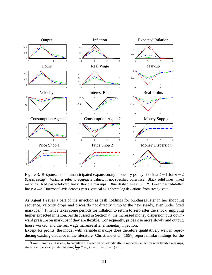

<span id="page-23-0"></span>Figure 3: Responses to an unanticipated expansionary monetary policy shock at  $t = 1$  for  $n = 2$ (basic setup). Variables refer to aggregate values, if not specified otherwise. Black solid lines: fixed markups. Red dashed-dotted lines: flexible markups. Blue dashed lines:  $\sigma = 2$ . Green dashed-dotted lines:  $\sigma = 3$ . Horizontal axis denotes years, vertical axis shows log deviations from steady state.

As Agent 1 saves a part of the injection as cash holdings for purchases later in her shopping sequence, velocity drops and prices do not directly jump to the new steady, even under fixed markups.<sup>[11](#page-23-1)</sup> It hence takes some periods for inflation to return to zero after the shock, implying higher expected inflation. As discussed in Section [4,](#page-18-0) the increased money dispersion puts downward pressure on markups if they are flexible. Consequently, prices rise more slowly and output, hours worked, and the real wage increase after a monetary injection.

Except for profits, the model with variable markups does therefore qualitatively well in reproducing existing evidence in the literature. [Christiano et al. \(1997](#page-34-6)) report similar findings for the

<span id="page-23-1"></span> $11$ From Lemma [2,](#page-19-1) it is easy to calculate the reaction of velocity after a monetary injection with flexible markups, starting at the steady state, yielding  $\frac{1-x}{2z}[2+\rho(z-1)]-(1-x)<0$ .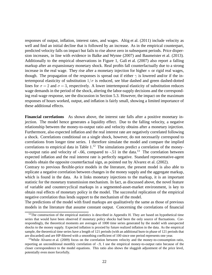responses of output, inflation, interest rates, and wages. [Altig et al. \(2011](#page-33-8)) include velocity as well and find an initial decline that is followed by an increase. As in the empirical counterpart, predicted velocity falls on impact but fails to rise above zero in subsequent periods. Price dispersion increases, in line with evidence in [Balke and Wynne](#page-33-9) [\(2007\)](#page-33-9) and [Baumeister et al. \(2013](#page-33-10)). Additionally to the empirical observations in Figure [1,](#page-4-1) Galí et al.  $(2007)$  also report a falling markup after an expansionary monetary shock. Real profits fall counterfactually due to a strong increase in the real wage. They rise after a monetary injection for higher  $n$  or rigid real wages, though. The propagation of the responses is spread out if either  $\gamma$  is lowered and/or if the intertemporal elasticity of substitution  $1/\sigma$  is reduced, see blue dashed and green dashed-dotted lines for  $\sigma = 2$  and  $\sigma = 3$ , respectively. A lower intertemporal elasticity of substitution reduces wage demands in the period of the shock, altering the labor-supply decisions and the corresponding real-wage response, see the discussion in Section [5.3.](#page-30-0) However, the impact on the maximum responses of hours worked, output, and inflation is fairly small, showing a limited importance of these additional effects.

**Financial correlations** As shown above, the interest rate falls after a positive monetary injection. The model hence generates a liquidity effect. Due to the falling velocity, a negative relationship between the money-to-output ratio and velocity obtains after a monetary injection. Furthermore, also expected inflation and the real interest rate are negatively correlated following a shock. Correlations conditional on a single shock, however, do not necessarily correspond to correlations from longer time series. I therefore simulate the model and compare the implied correlations to empirical data in Table  $1<sup>12</sup>$  $1<sup>12</sup>$  $1<sup>12</sup>$  The simulations predict a correlation of the moneyto-output ratio and velocity of  $-.66$ , compared to  $-.51$  in the data.<sup>[13](#page-24-1)</sup> The correlation between expected inflation and the real interest rate is perfectly negative. Standard representative-agent models obtain the opposite counterfactual sign, as pointed out by [Alvarez et al. \(2002](#page-33-5)).

Contrary to previous flexible-price models in the literature, the present model is also able to replicate a negative correlation between changes in the money supply and the aggregate markup, which is found in the data. As it links monetary injections to the markup, it is an important statistic for the monetary transmission mechanism. In fact, as discussed above, the novel feature of variable and countercyclical markups in a segmented-asset-market environment, is key to obtain real effects of monetary policy in the model. The successful replication of the empirical negative correlation thus lends support to the mechanism of the model.

The predictions of the model with fixed markups are qualitatively the same as those of previous models in the literature that assume constant output. Concerning the correlations of financial

<span id="page-24-0"></span><sup>&</sup>lt;sup>12</sup>The construction of the empirical statistics is described in Appendix [H.](#page-57-0) They are based on hypothetical time series that would have been observed if monetary policy shocks had been the only source of fluctuations. Correspondingly, the theoretical moments are averages of 1000 time series generated by the model with unexpected shocks to the money supply. Expected inflation is proxied by future realized inflation in the data. As the empirical sample, the theoretical time series have a length of 121 periods (with an additional burn-in phase of 121 periods that are discarded) and are HP-filtered with a smoothing coefficient of 100 since one period represents one year.

<span id="page-24-1"></span><sup>&</sup>lt;sup>13</sup>While [Alvarez et al. \(2009](#page-33-4)) focus on the correlation between velocity and the money-to-consumption ratio, reporting an unconditional monthly correlation of -.9, I use the empirical money-to-output ratio because of the closer correspondence to the model equations. This ratio also shows the sluggish adjustment of the price level, potentially even more forcefully.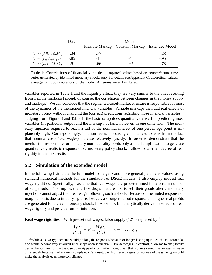|                             | Data   |        | Model                                          |        |
|-----------------------------|--------|--------|------------------------------------------------|--------|
|                             |        |        | Flexible Markup Constant Markup Extended Model |        |
| $Corr(MU_t, \Delta M_t)$    | $-.24$ | $-.77$ |                                                | $-.28$ |
| $Corr(r_t, E_t \pi_{t+1})$  | $-.85$ | $-1$   | -1                                             | $-95$  |
| $Corr(vel_t, M_t/Y_t)$ -.51 |        | $-.66$ | $-.67$                                         | $-78$  |

<span id="page-25-1"></span>Table 1: Correlations of financial variables. Empirical values based on counterfactual time series generated by identified monetary shocks only, for details see Appendix [G;](#page-55-0) theoretical values: averages of 1000 simulations of the model. All series were HP-filtered.

variables reported in Table [1](#page-25-1) and the liquidity effect, they are very similar to the ones resulting from flexible markups (except, of course, the correlation between changes in the money supply and markups). We can conclude that the segmented-asset-market structure is responsible for most of the dynamics of the mentioned financial variables. Variable markups then add real effects of monetary policy without changing the (correct) predictions regarding those financial variables. Judging from Figure [3](#page-23-0) and Table [1,](#page-25-1) the basic setup does quantitatively well in predicting most variables (in particular output and the markup). It fails, however, in one dimension. The monetary injection required to reach a fall of the nominal interest of one percentage point is implausibly high. Correspondingly, inflation reacts too strongly. This result stems from the fact that nominal costs (i.e., wages) increase relatively quickly. In order to demonstrate that the mechanism responsible for monetary non-neutrality needs only a small amplification to generate quantitatively realistic responses to a monetary policy shock, I allow for a small degree of real rigidity in the next section.

### <span id="page-25-0"></span>**5.2 Simulation of the extended model**

In the following I simulate the full model for large  $n$  and more general parameter values, using standard numerical methods for the simulation of DSGE models. I also employ modest real wage rigidities. Specifically, I assume that real wages are predetermined for a certain number of subperiods. This implies that a few shops that are first to sell their goods after a monetary injection cannot adjust their real wage following such a shock. Because of the muted response of marginal costs due to initially rigid real wages, a stronger output response and higher real profits are generated for a given monetary shock. In Appendix [B,](#page-43-0) I analytically derive the effects of real wage rigidity and provide further intuition.

**Real wage rigidities** With pre-set real wages, labor supply [\(12\)](#page-14-3) is replaced by<sup>[14](#page-25-2)</sup>

$$
\frac{W_t(i)}{P_t(i)} = E_{t-1} \frac{W_t(i)}{P_t(i)} \qquad i = 1, \dots, \xi^r,
$$

<span id="page-25-2"></span><sup>&</sup>lt;sup>14</sup>While a Calvo-type scheme would prolong the responses because of longer-lasting rigidities, the microfoundation would become very involved since shops open sequentially. Pre-set wages, in contrast, allow me to analytically derive the solution for the basic setup in Appendix [B.](#page-43-0) Furthermore, given that workers cannot insure against wage differentials because markets are incomplete, a Calvo-setup with different wages for workers of the same type would make the analysis even more complicated.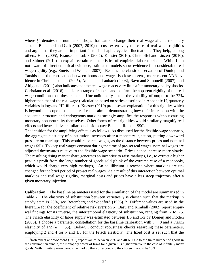where  $\xi^r$  denotes the number of shops that cannot change their real wage after a monetary shock. Blanchard and Galí [\(2007,](#page-34-8) [2010\)](#page-34-9) discuss extensively the case of real wage rigidities and argue that they are an important factor in shaping cyclical fluctuations. They help, among others, [Hall](#page-35-11) [\(2005\)](#page-35-11), [Krause and Lubik](#page-36-11) [\(2007\)](#page-36-11), [Kuester \(2010](#page-36-12)), [Christoffel and Linzert \(2010](#page-34-10)), and [Shimer](#page-37-6) [\(2012\)](#page-37-6) to explain certain characteristics of empirical labor markets. While I am not aware of direct empirical evidence, estimated models show evidence for considerable real wage rigidity (e.g., [Smets and Wouters 2007\)](#page-37-7). Besides the classic observation of Dunlop and Tarshis that the correlation between hours and wages is close to zero, more recent VAR evidence in [Christiano et al. \(2005](#page-34-11)), [Amato and Laubach \(2003](#page-33-11)), [Ravn and Simonelli \(2007](#page-37-8)), and [Altig et al. \(2011](#page-33-8)) also indicates that the real wage reacts very little after monetary policy shocks. [Christiano et al. \(2016](#page-34-12)) consider a range of shocks and confirm the apparent rigidity of the real wage conditional on these shocks. Unconditionally, I find the volatility of output to be 72% higher than that of the real wage (calculation based on series described in Appendix [H,](#page-57-0) quarterly variables in logs and HP-filtered). [Kuester \(2010](#page-36-12)) proposes an explanation for this rigidity, which is beyond the scope of this paper. I rather aim at demonstrating how their interaction with the sequential structure and endogenous markups strongly amplifies the responses without causing monetary non-neutrality themselves. Other forms of real rigidities would similarly magnify real effects and hence deliver similar conclusions (see [Ball and](#page-33-12) Romer [1990\)](#page-33-12).

The intuition for the amplifying effect is as follows. As discussed for the flexible-wage scenario, the aggregate elasticity of substitution increases after a monetary injection, putting downward pressure on markups. This would raise real wages, as the distance between prices and nominal wages falls. To keep real wages constant during the time of pre-set real wages, nominal wages are adjusted downwards relative to the flexible-wage scenario. Prices hence increase more slowly. The resulting rising market share generates an incentive to raise markups, i.e., to extract a higher per-unit profit from the large number of goods sold (think of the extreme case of a monopoly, which would charge very high markups). An equilibrium is reached where markups are unchanged for the brief period of pre-set real wages. As a result of this interaction between optimal markups and real wage rigidity, marginal costs and prices have a less steep trajectory after a given monetary injection.

**Calibration** The baseline parameters used for the simulation of the model are summarized in Table [2.](#page-27-0) The elasticity of substitution between varieties  $\gamma$  is chosen such that the markup in steady state is  $20\%$ , see [Rotemberg and Woodford](#page-37-9)  $(1993)$ .<sup>[15](#page-26-0)</sup> Different values are used in the literature for the coefficient of relative risk aversion  $\sigma$ . [Basu and Kimball](#page-33-13) [\(2002\)](#page-33-13) report empirical findings for its inverse, the intertemporal elasticity of substitution, ranging from .2 to .75. The Frisch elasticity of labor supply was estimated between 1/3 and 1/2 by Domeij and Flodén [\(2006\)](#page-35-12). I choose a parameter constellation for the baseline calibration with  $\sigma = 3$  and a Frisch elasticity of  $1/2$  ( $\mu = .65$ ). Below, I conduct robustness checks regarding these parameters, employing 2 and 4 for  $\sigma$  and 1/3 for the Frisch elasticity. The fixed cost is set such that the

<span id="page-26-0"></span><sup>&</sup>lt;sup>15</sup>[Rotemberg and Woodford \(1993\)](#page-37-9) report values between 20% and 40%. Due to the finite number of goods in the consumption bundle, the monopoly power of firms for a given  $\gamma$  is higher relative to the case of infinitely many goods. With infinitely many goods the markup that corresponds to the chosen  $\gamma$  would be 15%.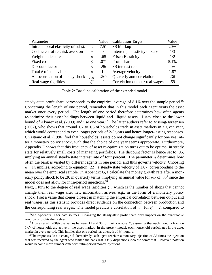| Parameter                          |               | Value            | <b>Calibration Target</b>       | Value |
|------------------------------------|---------------|------------------|---------------------------------|-------|
| Intratemporal elasticity of subst. | $\gamma$      | 7.51             | <b>SS Markup</b>                | 20%   |
| Coefficient of rel. risk aversion  | $\sigma$      |                  | Intertemp. elasticity of subst. | 1/3   |
| Weight on leisure                  | $\mu$         | .65              | <b>Frisch Elasticity</b>        | 1/2   |
| Fixed cost                         | $\varnothing$ | .071             | Profit share                    | 5.1%  |
| Discount factor                    |               | .96              | SS interest rate                | 4%    |
| Total # of bank visits             | $\,n$         | 14               | Average velocity                | 1.87  |
| Autocorrelation of money shock     | $\rho_M$      | .36 <sup>4</sup> | Quarterly autocorrelation       | .36   |
| Real wage rigidities               | $\zeta^{r}$   |                  | Correlation output / real wages | .59   |

<span id="page-27-0"></span>Table 2: Baseline calibration of the extended model

steady-state profit share corresponds to the empirical average of  $5.1\%$  over the sample period.<sup>[16](#page-27-1)</sup> Concerning the length of one period, remember that in this model each agent visits the asset market once every period. The length of one period therefore determines how often agents re-optimize their asset holdings between liquid and illiquid assets. I stay close to the lower bound of [Alvarez et al. \(2009](#page-33-4)) and use one year.<sup>[17](#page-27-2)</sup> The latter authors refer to [Vissing-Jørgensen](#page-37-10) [\(2002\)](#page-37-10), who shows that around 1/2 to 1/3 of households trade in asset markets in a given year, which would correspond to even longer periods of 2-3 years and hence longer-lasting responses. [Christiano et al. \(1996](#page-34-5)) find that households' assets do not change significantly for one year after a monetary policy shock, such that the choice of one year seems appropriate. Furthermore, Appendix [E](#page-51-1) shows that this frequency of asset re-optimization turns out to be optimal in steady state for relatively small costs of managing portfolios. The discount factor is hence set to .96, implying an annual steady-state interest rate of four percent. The parameter  $n$  determines how often the bank is visited by different agents in one period, and thus governs velocity. Choosing  $n= 14$  implies, according to equation [\(22\)](#page-17-1), a steady-state velocity of 1.87, corresponding to the mean over the empirical sample. In Appendix [G,](#page-55-0) I calculate the money growth rate after a monetary policy shock to be .36 in quarterly terms, implying an annual value for  $\rho_M$  of .36<sup>4</sup> since the model does not allow for intra-period injections.<sup>[18](#page-27-3)</sup>

Next, I turn to the degree of real wage rigidities  $\xi^r$ , which is the number of shops that cannot change their real wage after new information arrives, e.g., in the form of a monetary policy shock. I set a value that comes closest in matching the empirical correlation between output and real wages, as this statistic provides direct evidence on the connection between production and the corresponding real wages. The model predicts a correlation of .74 for  $\xi^r = 2$ , compared to

<span id="page-27-1"></span><sup>&</sup>lt;sup>16</sup>See Appendix [H](#page-57-0) for data sources. Changing the steady-state profit share only impacts on the quantitative reaction of profits themselves.

<span id="page-27-2"></span><sup>&</sup>lt;sup>17</sup>[Alvarez et al. \(2009\)](#page-33-4) use values between 11 and 38 for their variable N, assuming that each month a fraction  $1/N$  of households are active in the asset market. In the present model, each household participates in the asset market in every period. This implies that one period has a length of  $N$  months.

<span id="page-27-3"></span><sup>&</sup>lt;sup>18</sup>The responses do not change if alternatively each agent receives a monetary injection of .36 times the injection that was received by the agent who visited the bank last. Only dispersions increase somewhat. However, notation would become more cumbersome with intra-period money injections.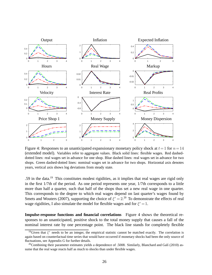

<span id="page-28-2"></span>Figure 4: Responses to an unanticipated expansionary monetary policy shock at  $t=1$  for  $n=14$ (extended model). Variables refer to aggregate values. Black solid lines: flexible wages. Red dasheddotted lines: real wages set in advance for one shop. Blue dashed lines: real wages set in advance for two shops. Green dashed-dotted lines: nominal wages set in advance for two shops. Horizontal axis denotes years, vertical axis shows log deviations from steady state.

.59 in the data.[19](#page-28-0) This constitutes modest rigidities, as it implies that real wages are rigid only in the first 1/7th of the period. As one period represents one year, 1/7th corresponds to a little more than half a quarter, such that half of the shops thus set a new real wage in one quarter. This corresponds to the degree to which real wages depend on last quarter's wages found by [Smets and Wouters \(2007](#page-37-7)), supporting the choice of  $\xi^r = 2$ .<sup>[20](#page-28-1)</sup> To demonstrate the effects of real wage rigidities, I also simulate the model for flexible wages and for  $\xi^r = 1$ .

**Impulse-response functions and financial correlations** Figure [4](#page-28-2) shows the theoretical responses to an unanticipated, positive shock to the total money supply that causes a fall of the nominal interest rate by one percentage point. The black line stands for completely flexible

<span id="page-28-0"></span><sup>&</sup>lt;sup>19</sup>Given that  $\xi^r$  needs to be an integer, the empirical statistic cannot be matched exactly. The correlation is again based on counterfactual time series that would have occurred if monetary shocks had been the only source of fluctuations, see Appendix [G](#page-55-0) for further details.

<span id="page-28-1"></span><sup>&</sup>lt;sup>20</sup>Combining their parameter estimates yields a dependence of .5008. Similarly, Blanchard and Galí (2010) assume that the real wage reacts half as much to shocks than under flexible wages.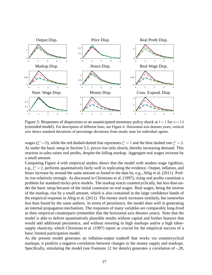

<span id="page-29-0"></span>Figure 5: Responses of dispersions to an unanticipated monetary policy shock at  $t=1$  for  $n=14$ (extended model). For description of different lines, see Figure [4.](#page-28-2) Horizontal axis denotes years, vertical axis shows standard deviations of percentage deviations from steady state for individual agents.

wages ( $\xi^r = 0$ ), while the red dashed-dotted line represents  $\xi^r = 1$  and the blue dashed one  $\xi^r = 2$ . As under the basic setup in Section [5.1,](#page-22-1) prices rise only slowly, thereby increasing demand. This reaction in sales raises real profits, despite the falling markup. Aggregate real wages increase by a small amount.

Comparing Figure [4](#page-28-2) with empirical studies shows that the model with modest wage rigidities, e.g.,  $\xi^r = 2$ , performs quantitatively fairly well in replicating the evidence. Output, inflation, and hours increase by around the same amount as found in the data by, e.g., [Altig et al.](#page-33-8) [\(2011\)](#page-33-8). Profits rise relatively strongly. As discussed in [Christiano et](#page-34-6) al. [\(1997](#page-34-6)), rising real profits constitute a problem for standard sticky-price models. The markup reacts countercyclically, but less than under the basic setup because of the initial constraint on real wages. Real wages, being the inverse of the markup, rise by a small amount, which is also contained in the large confidence bands of the empirical response in [Altig et al.](#page-33-8) [\(2011\)](#page-33-8). The money stock increases similarly, but somewhat less than found by the same authors. In terms of persistence, the model does well in generating an internal propagation mechanism. The responses of many variables are comparably long-lived as their empirical counterparts (remember that the horizontal axis denotes years). Note that the model is able to deliver quantitatively plausible results without capital and further features that would add additional persistence, and without resorting to high markups and/or a high laborsupply elasticity, which [Christiano et al.](#page-34-6) [\(1997\)](#page-34-6) report as crucial for the empirical success of a basic limited participation model.

As the present model generates an inflation-output tradeoff that works via countercyclical markups, it predicts a negative correlation between changes in the money supply and markups. Specifically, simulating the model (see Footnote [12](#page-24-0) for details) generates a correlation of -.28,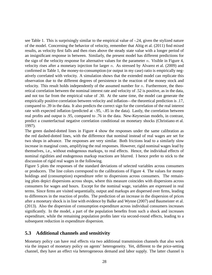see Table [1.](#page-25-1) This is surprisingly similar to the empirical value of -.24, given the stylized nature of the model. Concerning the behavior of velocity, remember that [Altig et al.](#page-33-8) [\(2011\)](#page-33-8) find mixed results, as velocity first falls and then rises above the steady state value with a longer period of an insignificant response in between. Similarly, the present model has different predictions for the sign of the velocity response for alternative values for the parameter  $n$ . Visible in Figure [4,](#page-28-2) velocity rises after a monetary injection for larger  $n$ . As stressed by [Alvarez et al.](#page-33-4) [\(2009\)](#page-33-4) and confirmed in Table [1,](#page-25-1) the money-to-consumption (or output in my case) ratio is empirically negatively correlated with velocity. A simulation shows that the extended model can replicate this observation due to the different degrees of persistence in the reaction of the money stock and velocity. This result holds independently of the assumed number for  $n$ . Furthermore, the theoretical correlation between the nominal interest rate and velocity of .52 is positive, as in the data, and not too far from the empirical value of .30. At the same time, the model can generate the empirically positive correlation between velocity and inflation—the theoretical prediction is .17, compared to .39 in the data. It also predicts the correct sign for the correlation of the real interest rate with expected inflation (predicted at -.95, -.85 in the data). Lastly, the correlation between real profits and output is .95, compared to .76 in the data. New-Keynesian models, in contrast, predict a counterfactual negative correlation conditional on monetary shocks [\(Christiano et al.](#page-34-6) [1997\)](#page-34-6).

The green dashed-dotted lines in Figure [4](#page-28-2) show the responses under the same calibration as the red dashed-dotted lines, with the difference that nominal instead of real wages are set for two shops in advance. The responses are very similar. Both frictions lead to a similarly slow increase in marginal costs, amplifying the real responses. However, rigid nominal wages lead by themselves, i.e., without endogenous markups, to real effects. Hence, the individual effects of nominal rigidities and endogenous markup reactions are blurred. I hence prefer to stick to the discussion of rigid real wages in the following.

Figure [5](#page-29-0) plots the responses of the standard deviations of selected variables across consumers or producers. The line colors correspond to the calibrations of Figure [4.](#page-28-2) The values for money holdings and (consumption) expenditure refer to dispersions across consumers. The remaining plots depict dispersions across shops, where this measure coincides with dispersions across consumers for wages and hours. Except for the nominal wage, variables are expressed in real terms. Since firms are visited sequentially, output and markups are dispersed over firms, leading to differences in the reaction of profits. The prediction of an increase in the dispersion of prices after a monetary shock is in line with evidence by [Balke and Wynne](#page-33-9) [\(2007\)](#page-33-9) and [Baumeister et al.](#page-33-10) [\(2013\)](#page-33-10). Also the dispersion of consumption expenditure across individual consumers increases significantly. In the model, a part of the population benefits from such a shock and increases expenditure, while the remaining population profits later via second-round effects, leading to a subsequent reduction in expenditure dispersion.

### <span id="page-30-0"></span>**5.3 Additional channels and sensitivity**

Monetary policy can have real effects via two additional transmission channels that also work via the impact of monetary policy on agents' heterogeneity. Yet, different to the price-setting channel, they have an effect via heterogeneous demand and labor supply. The latter channel is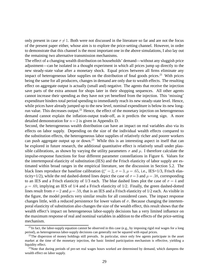only present in case  $\sigma \neq 1$ . Both were not discussed in the literature so far and are not the focus of the present paper either, whose aim is to explore the price-setting channel. However, in order to demonstrate that this channel is the most important one in the above simulations, I also lay out the remaining two alternative transmission mechanisms.

The effect of a changing wealth distribution on households' demand—without any sluggish price adjustment—can be isolated in a thought experiment in which all prices jump up directly to the new steady-state value after a monetary shock. Equal prices between all firms eliminate any impact of heterogeneous labor supplies on the distribution of final goods prices.<sup>[21](#page-31-0)</sup> With prices being the same for all producers, changes in demand are only due to wealth effects. The resulting effect on aggregate output is actually (small and) negative. The agents that receive the injection save parts of the extra amount for shops later in their shopping sequences. All other agents cannot increase their spending as they have not yet benefited from the injection. This 'missing' expenditure hinders total period spending to immediately reach its new steady-state level. Hence, while prices have already jumped up to the new level, nominal expenditure is below its new long-run value. This decreases output.<sup>[22](#page-31-1)</sup> Hence, the effect of the monetary injection on heterogeneous demand cannot explain the inflation-output trade-off, as it predicts the wrong sign. A more detailed demonstration for  $n=2$  is given in Appendix [D.](#page-51-0)

Second, the heterogeneous wealth distribution can have an impact on real variables also via its effects on labor supply. Depending on the size of the individual wealth effects compared to the substitution effects, the heterogeneous labor supplies of relatively richer and poorer workers can push aggregate output up or down.<sup>[23](#page-31-2)</sup> While this is an interesting aspect in itself that can be explored in future research, the additional quantitative effect is relatively small under plausible calibrations, as shown by varying the utility parameters  $\sigma$  and  $\mu$ . I therefore calculate the impulse-response functions for four different parameter constellations in Figure [6.](#page-32-1) Values for the intertemporal elasticity of substitution (IES) and the Frisch elasticity of labor supply are estimated within broad ranges in the empirical literature, see the discussion in Section [5.2.](#page-25-0) The black lines reproduce the baseline calibration ( $\xi^r = 2$ ,  $\sigma = 3$ ,  $\mu = .65$ , i.e., IES=1/3, Frisch elasticity=1/2), while the red dashed-dotted lines depict the case of  $\sigma = 3$  and  $\mu = .38$ , corresponding to an IES and a Frisch elasticity of 1/3 each. The blue dashed lines plot the case of  $\sigma = 4$  and  $\mu = .69$ , implying an IES of 1/4 and a Frisch elasticity of 1/2. Finally, the green dashed-dotted lines result from  $\sigma = 2$  and  $\mu = .59$ , that is an IES and a Frisch elasticity of 1/2 each. As visible in the figure, the model predicts very similar results for all considered cases. The impact response changes little, with a reduced persistence for lower values of  $\sigma$ . Because changing the intertemporal elasticity of substitution also changes the size of the wealth effect, this result shows that the wealth effect's impact on heterogeneous labor-supply decisions has a very limited influence on the maximum response of real and nominal variables in addition to the effects of the price-setting mechanism.

<span id="page-31-0"></span> $^{21}$ In fact, the labor-supply equation cannot be observed in this case (e.g., by imposing rigid real wages for a long period), as heterogeneous labor-supply decisions can generally not be squared with equal prices.

<span id="page-31-1"></span> $22$ The dispersion of money holdings still prevails. In particular, since only few agents participate in the asset market at the time of the monetary injection, the basic limited participation mechanism is effective, yielding a liquidity effect.

<span id="page-31-2"></span> $^{23}$ Note that during periods of pre-set real wages hours worked are determined by demand, which dampens the wealth effect on labor supply.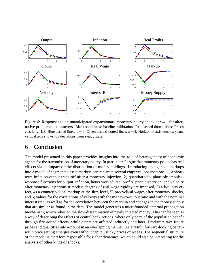

<span id="page-32-1"></span>Figure 6: Responses to an unanticipated expansionary monetary policy shock at  $t = 1$  for alternative preference parameters. Black solid lines: baseline calibration. Red dashed-dotted lines: Frisch elasticity=1/3. Blue dashed lines:  $\sigma = 4$ . Green dashed-dotted lines:  $\sigma = 2$ . Horizontal axis denotes years, vertical axis shows log deviations from steady state.

# <span id="page-32-0"></span>**6 Conclusion**

The model presented in this paper provides insights into the role of heterogeneity of economic agents for the transmission of monetary policy. In particular, I argue that monetary policy has real effects via its impact on the distribution of money holdings. Introducing endogenous markups into a model of segmented asset markets can replicate several empirical observations: 1) a shortterm inflation-output trade-off after a monetary injection, 2) quantitatively plausible impulseresponse functions for output, inflation, hours worked, real profits, price dispersion, and velocity after monetary injections if modest degrees of real wage rigidity are imposed, 3) a liquidity effect, 4) a countercyclical markup at the firm level, 5) procyclical wages after monetary shocks, and 6) values for the correlations of velocity with the money-to-output ratio and with the nominal interest rate, as well as for the correlation between the markup and changes in the money supply that are similar as found in the data. The model generates a microfounded, internal propagation mechanism, which relies on the slow dissemination of newly injected money. This can be seen as a way of describing the effects of central bank actions, where only parts of the population benefit through first-round effects, while others are affected indirectly and later. Producers take future prices and quantities into account in an overlapping manner. As a result, forward-looking behavior in price setting emerges even without capital, sticky prices or wages. The sequential structure of the model is therefore responsible for richer dynamics, which could also be interesting for the analysis of other kinds of shocks.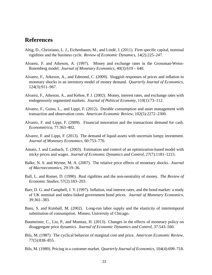# **References**

- <span id="page-33-8"></span>Altig, D., Christiano, L. J., Eichenbaum, M., and Lindé, J. (2011). Firm specific capital, nominal rigidities and the business cycle. *Review of Economic Dynamics*, 14(2):225–247.
- <span id="page-33-3"></span>Alvarez, F. and Atkeson, A. (1997). Money and exchange rates in the Grossman-Weiss-Rotemberg model. *Journal of Monetary Economics*, 40(3):619 – 640.
- <span id="page-33-4"></span>Alvarez, F., Atkeson, A., and Edmond, C. (2009). Sluggish responses of prices and inflation to monetary shocks in an inventory model of money demand. *Quarterly Journal of Economics*, 124(3):911–967.
- <span id="page-33-5"></span>Alvarez, F., Atkeson, A., and Kehoe, P. J. (2002). Money, interest rates, and exchange rates with endogenously segmented markets. *Journal of Political Economy*, 110(1):73–112.
- <span id="page-33-2"></span>Alvarez, F., Guiso, L., and Lippi, F. (2012). Durable consumption and asset management with transaction and observation costs. *American Economic Review*, 102(5):2272–2300.
- <span id="page-33-1"></span>Alvarez, F. and Lippi, F. (2009). Financial innovation and the transactions demand for cash. *Econometrica*, 77:363–402.
- <span id="page-33-0"></span>Alvarez, F. and Lippi, F. (2013). The demand of liquid assets with uncertain lumpy investment. *Journal of Monetary Economics*, 60:753–770.
- <span id="page-33-11"></span>Amato, J. and Laubach, T. (2003). Estimation and control of an optimization-based model with sticky prices and wages. *Journal of Economic Dynamics and Control*, 27(7):1181–1215.
- <span id="page-33-9"></span>Balke, N. S. and Wynne, M. A. (2007). The relative price effects of monetary shocks. *Journal of Macroeconomics*, 29:19–36.
- <span id="page-33-12"></span>Ball, L. and Romer, D. (1990). Real rigidities and the non-neutrality of money. *The Review of Economic Studies*, 57(2):183–203.
- <span id="page-33-6"></span>Barr, D. G. and Campbell, J. Y. (1997). Inflation, real interest rates, and the bond market: a study of UK nominal and index-linked government bond prices. *Journal of Monetary Economics*, 39:361–383.
- <span id="page-33-13"></span>Basu, S. and Kimball, M. (2002). Long-run labor supply and the elasticity of intertemporal substitution of consumption. Mimeo, University of Chicago.
- <span id="page-33-10"></span>Baumeister, C., Liu, P., and Mumtaz, H. (2013). Changes in the effects of monetary policy on disaggregate price dynamics. *Journal of Economic Dynamics and Control*, 37:543–560.
- <span id="page-33-14"></span>Bils, M. (1987). The cyclical behavior of marginal cost and price. *American Economic Review*, 77(5):838–855.
- <span id="page-33-7"></span>Bils, M. (1989). Pricing in a customer market. *Quarterly Journal of Economics*, 104(4):699–718.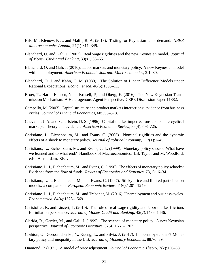- <span id="page-34-14"></span>Bils, M., Klenow, P. J., and Malin, B. A. (2013). Testing for Keynesian labor demand. *NBER Macroeconomics Annual*, 27(1):311–349.
- <span id="page-34-8"></span>Blanchard, O. and Gal´ı, J. (2007). Real wage rigidities and the new Keynesian model. *Journal of Money, Credit and Banking*, 39(s1):35–65.
- <span id="page-34-9"></span>Blanchard, O. and Galí, J. (2010). Labor markets and monetary policy: A new Keynesian model with unemployment. *American Economic Journal: Macroeconomics*, 2:1–30.
- <span id="page-34-13"></span>Blanchard, O. J. and Kahn, C. M. (1980). The Solution of Linear Difference Models under Rational Expectations. *Econometrica*, 48(5):1305–11.
- <span id="page-34-1"></span>Broer, T., Harbo Hansen, N.-J., Krusell, P., and Oberg, E. (2016). The New Keynesian Transmission Mechanism: A Heterogenous-Agent Perspective. CEPR Discussion Paper 11382.
- <span id="page-34-3"></span>Campello, M. (2003). Capital structure and product markets interactions: evidence from business cycles. *Journal of Financial Economics*, 68:353–378.
- <span id="page-34-4"></span>Chevalier, J. A. and Scharfstein, D. S. (1996). Capital-market imperfections and countercyclical markups: Theory and evidence. *American Economic Review*, 86(4):703–725.
- <span id="page-34-11"></span>Christiano, L., Eichenbaum, M., and Evans, C. (2005). Nominal rigidities and the dynamic effects of a shock to monetary policy. *Journal of Political Economy*, 113(1):1–45.
- <span id="page-34-2"></span>Christiano, L., Eichenbaum, M., and Evans, C. L. (1999). Monetary policy shocks: What have we learned and to what end? Handbook of Macroeconomics. J.B. Taylor and M. Woodford, eds., Amsterdam: Elsevier.
- <span id="page-34-5"></span>Christiano, L. J., Eichenbaum, M., and Evans, C. (1996). The effects of monetary policy schocks: Evidence from the flow of funds. *Review of Economics and Statistics*, 78(1):16–34.
- <span id="page-34-6"></span>Christiano, L. J., Eichenbaum, M., and Evans, C. (1997). Sticky price and limited participation models: a comparison. *European Economic Review*, 41(6):1201–1249.
- <span id="page-34-12"></span>Christiano, L. J., Eichenbaum, M., and Trabandt, M. (2016). Unemployment and business cycles. *Econometrica*, 84(4):1523–1569.
- <span id="page-34-10"></span>Christoffel, K. and Linzert, T. (2010). The role of real wage rigidity and labor market frictions for inflation persistence. *Journal of Money, Credit and Banking*, 42(7):1435–1446.
- <span id="page-34-15"></span>Clarida, R., Gertler, M., and Galí, J. (1999). The science of monetary policy: A new Keynsian perspective. *Journal of Economic Literature*, 37(4):1661–1707.
- <span id="page-34-0"></span>Coibion, O., Gorodnichenko, Y., Kueng, L., and Silvia, J. (2017). Innocent bystanders? Monetary policy and inequality in the U.S. *Journal of Monetary Economics*, 88:70–89.
- <span id="page-34-7"></span>Diamond, P. (1971). A model of price adjustment. *Journal of Economic Theory*, 3(2):156–68.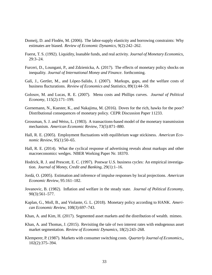- <span id="page-35-12"></span>Domeij, D. and Flodén, M. (2006). The labor-supply elasticity and borrowing constraints: Why estimates are biased. *Review of Economic Dynamics*, 9(2):242–262.
- <span id="page-35-9"></span>Fuerst, T. S. (1992). Liquidity, loanable funds, and real activity. *Journal of Monetary Economics*, 29:3–24.
- <span id="page-35-0"></span>Furceri, D., Loungani, P., and Zdzienicka, A. (2017). The effects of monetary policy shocks on inequality. *Journal of International Money and Finance*. forthcoming.
- <span id="page-35-4"></span>Galí, J., Gertler, M., and López-Salido, J. (2007). Markups, gaps, and the welfare costs of business flucturations. *Review of Economics and Statistics*, 89(1):44–59.
- <span id="page-35-3"></span>Golosov, M. and Lucas, R. E. (2007). Menu costs and Phillips curves. *Journal of Political Economy*, 115(2):171–199.
- <span id="page-35-1"></span>Gornemann, N., Kuester, K., and Nakajima, M. (2016). Doves for the rich, hawks for the poor? Distributional consequences of monetary policy. CEPR Discussion Paper 11233.
- <span id="page-35-6"></span>Grossman, S. J. and Weiss, L. (1983). A transactions-based model of the monetary transmission mechanism. *American Economic Review*, 73(5):871–880.
- <span id="page-35-11"></span>Hall, R. E. (2005). Employment fluctuations with equilibrium wage stickiness. *American Economic Review*, 95(1):50–65.
- <span id="page-35-13"></span>Hall, R. E. (2014). What the cyclical response of advertising reveals about markups and other macroeconomicc wedges. NBER Working Paper Nr. 18370.
- <span id="page-35-15"></span>Hodrick, R. J. and Prescott, E. C. (1997). Postwar U.S. business cycles: An empirical investigation. *Journal of Money, Credit and Banking*, 29(1):1–16.
- <span id="page-35-14"></span>Jord`a, O. (2005). Estimation and inference of impulse responses by local projections. *American Economic Review*, 95:161–182.
- <span id="page-35-5"></span>Jovanovic, B. (1982). Inflation and welfare in the steady state. *Journal of Political Economy*, 90(3):561–577.
- <span id="page-35-2"></span>Kaplan, G., Moll, B., and Violante, G. L. (2018). Monetary policy according to HANK. *American Economic Review*, 108(3):697–743.
- <span id="page-35-8"></span>Khan, A. and Kim, H. (2017). Segmented asset markets and the distribution of wealth. mimeo.
- <span id="page-35-7"></span>Khan, A. and Thomas, J. (2015). Revisiting the tale of two interest rates with endogenous asset market segmentation. *Review of Economic Dynamics*, 18(2):243–268.
- <span id="page-35-10"></span>Klemperer, P. (1987). Markets with consumer switching costs. *Quarterly Journal of Economics,*, 102(2):375–394.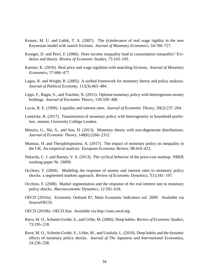- <span id="page-36-11"></span>Krause, M. U. and Lubik, T. A. (2007). The (ir)relevance of real wage rigidity in the new Keynesian model with search frictions. *Journal of Monetary Economics*, 54:706–727.
- <span id="page-36-13"></span>Krueger, D. and Perri, F. (2006). Does income inequality lead to consumption inequality? Evidence and theory. *Review of Economic Studies*, 73:163–193.
- <span id="page-36-12"></span>Kuester, K. (2010). Real price and wage rigidities with matching frictions. *Journal of Monetary Economics*, 57:466–477.
- <span id="page-36-8"></span>Lagos, R. and Wright, R. (2005). A unified framework for monetary theory and policy analysis. *Journal of Political Economy*, 113(3):463–484.
- <span id="page-36-10"></span>Lippi, F., Ragni, S., and Trachter, N. (2015). Optimal monetary policy with heterogenous money holdings. *Journal of Eocnomic Theory*, 159:339–368.
- <span id="page-36-7"></span>Lucas, R. E. (1990). Liquidity and interest rates. *Journal of Economic Theory*, 50(2):237–264.
- <span id="page-36-1"></span>Luetticke, R. (2017). Transmission of monetary policy with heterogeneity in household portfolios. mimeo, University College London.
- <span id="page-36-9"></span>Menzio, G., Shi, S., and Sun, H. (2013). Monetary theory with non-degenerate distributions. *Journal of Economic Theory*, 148(6):2266–2312.
- <span id="page-36-0"></span>Mumtaz, H. and Theophilopoulou, A. (2017). The impact of monetary policy on inequality in the UK. An empirical analysis. *European Economic Review*, 98:410–423.
- <span id="page-36-2"></span>Nekarda, C. J. and Ramey, V. A. (2013). The cyclical behavior of the price-cost markup. NBER working paper Nr. 19099.
- <span id="page-36-3"></span>Occhino, F. (2004). Modeling the response of money and interest rates to monetary policy shocks: a segmented markets approach. *Review of Economic Dynamics*, 7(1):181–197.
- <span id="page-36-4"></span>Occhino, F. (2008). Market segmentation and the response of the real interest rate to monetary policy shocks. *Macroeconomic Dynamics*, 12:591–618.
- <span id="page-36-14"></span>OECD (2010a). Economic Outlook 87, Main Economic Indicators vol. 2009. Available via SourceOECD.
- <span id="page-36-15"></span>OECD (2010b). OECD.Stat. Available via http://stats.oecd.org.
- <span id="page-36-6"></span>Ravn, M. O., Schmitt-Grohé, S., and Uribe, M. (2006). Deep habits. *Review of Economic Studies*, 73:195–218.
- <span id="page-36-5"></span>Ravn, M. O., Schmitt-Grohé, S., Uribe, M., and Uuskula, L. (2010). Deep habits and the dynamic effects of monetary policy shocks. *Journal of The Japanese and International Economies*, 24:236–258.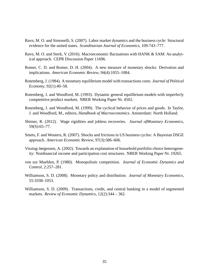- <span id="page-37-8"></span>Ravn, M. O. and Simonelli, S. (2007). Labor market dynamics and the business cycle: Structural evidence for the united states. *Scandinavian Journal of Economics*, 109:743–777.
- <span id="page-37-0"></span>Ravn, M. O. and Sterk, V. (2016). Macroeconomic fluctuations with HANK & SAM: An analytical approach. CEPR Discussion Paper 11696.
- <span id="page-37-11"></span>Romer, C. D. and Romer, D. H. (2004). A new measure of monetary shocks: Derivation and implications. *American Economic Review*, 94(4):1055–1084.
- <span id="page-37-3"></span>Rotemberg, J. (1984). A monetary equilibrium model with transactions costs. *Journal of Political Economy*, 92(1):40–58.
- <span id="page-37-9"></span>Rotemberg, J. and Woodford, M. (1993). Dynamic general equilibrium models with imperfecly comptetitive product markets. NBER Working Paper Nr. 4502.
- <span id="page-37-1"></span>Rotemberg, J. and Woodford, M. (1999). The cyclical behavior of prices and goods. In Taylor, J. and Woodford, M., editors, *Handbook of Macroeconomics*. Amsterdam: North Holland.
- <span id="page-37-6"></span>Shimer, R. (2012). Wage rigidities and jobless recoveries. *Journal ofMonetary Economics*, 59(S):65–77.
- <span id="page-37-7"></span>Smets, F. and Wouters, R. (2007). Shocks and frictions in US business cycles: A Bayesian DSGE approach. *American Economic Review*, 97(3):586–606.
- <span id="page-37-10"></span>Vissing-Jørgensen, A. (2002). Towards an explanation of household portfolio choice heterogeneity: Nonfinancial income and participation cost structures. NBER Working Paper Nr. 19265.
- <span id="page-37-5"></span>von zur Muehlen, P. (1980). Monopolistic competition. *Journal of Economic Dynamics and Control*, 2:257–281.
- <span id="page-37-4"></span>Williamson, S. D. (2008). Monetary policy and distribution. *Journal of Monetary Economics*, 55:1038–1053.
- <span id="page-37-2"></span>Williamson, S. D. (2009). Transactions, credit, and central banking in a model of segmented markets. *Review of Economic Dynamics*, 12(2):344 – 362.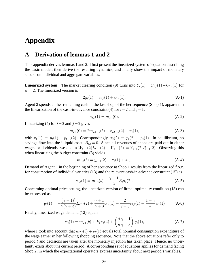# **Appendix**

# <span id="page-38-0"></span>**A Derivation of lemmas [1](#page-19-0) and [2](#page-19-1)**

This appendix derives lemmas [1](#page-19-0) and [2.](#page-19-1) I first present the linearized system of equation describing the basic model, then derive the resulting dynamics, and finally show the impact of monetary shocks on individual and aggregate variables.

**Linearized system** The market clearing condition [\(9\)](#page-12-0) turns into  $Y_t(1) = C_{1,t}(1) + C_{2,t}(1)$  for  $n = 2$ . The linearized version is

<span id="page-38-1"></span>
$$
2y_t(1) = c_{1,t}(1) + c_{2,t}(1). \tag{A-1}
$$

Agent 2 spends all her remaining cash in the last shop of the her sequence (Shop 1), apparent in the linearization of the cash-in-advance constraint [\(4\)](#page-11-2) for  $i=2$  and  $j=1$ ,

<span id="page-38-3"></span>
$$
c_{2,t}(1) = m_{2,t}(0). \tag{A-2}
$$

Linearizing [\(4\)](#page-11-2) for  $i=2$  and  $j=2$  gives

$$
m_{2,t}(0) = 2m_{2,t-1}(b) - c_{2,t-1}(2) - \pi_t(1),
$$
\n(A-3)

with  $\pi_t(1) \equiv p_t(1) - p_{t-1}(2)$ . Correspondingly,  $\pi_t(2) \equiv p_t(2) - p_t(1)$ . In equilibrium, no savings flow into the illiquid asset,  $B_{i,t} = 0$ . Since all revenues of shops are paid out in either wages or dividends, we obtain  $W_{t-1}(2)L_{t-1}(2) + \Pi_{t-1}(2) = Y_{t-1}(2)P_{t-1}(2)$ . Observing this when linearizing the budget constraint [\(3\)](#page-11-1) yields

<span id="page-38-5"></span>
$$
m_{1,t}(b) = y_{t-1}(2) - \pi_t(1) + s_{1,t}.
$$
\n(A-4)

Demand of Agent 1 in the beginning of her sequence at Shop 1 results from the linearized f.o.c. for consumption of individual varieties [\(13\)](#page-14-0) and the relevant cash-in-advance constraint [\(15\)](#page-14-1) as

<span id="page-38-6"></span>
$$
c_{1,t}(1) = m_{1,t}(b) + \frac{\gamma - 1}{2} E_t \pi_t(2). \tag{A-5}
$$

Concerning optimal price setting, the linearized version of firms' optimality condition [\(18\)](#page-16-4) can be expressed as

<span id="page-38-4"></span>
$$
y_t(1) = -\frac{(\gamma - 1)^2}{2(\gamma + 3)} E_t \pi_t(2) + \frac{\gamma + 1}{\gamma + 3} c_{1,t}(1) + \frac{2}{\gamma + 3} c_{2,t}(1) + \frac{1 - \gamma}{4} w_t(1)
$$
 (A-6)

Finally, linearized wage demand [\(12\)](#page-14-3) equals

<span id="page-38-2"></span>
$$
w_t(1) = m_{2,t}(b) + E_t \pi_t(2) + \left(\frac{\beta \gamma - 1}{\mu \gamma + 3}\right) y_t(1), \tag{A-7}
$$

where I took into account that  $m_{2,t}(b) + p_t(1)$  equals total nominal consumption expenditure of the wage earner in her following shopping sequence. Note that the above equations refer only to period  $t$  and decisions are taken after the monetary injection has taken place. Hence, no uncertainty exists about the current period. A corresponding set of equations applies for demand facing Shop 2, in which the expectational operators express uncertainty about next period's variables.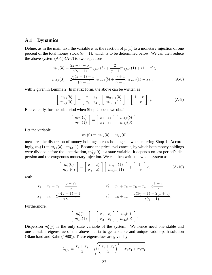#### **A.1 Dynamics**

Define, as in the main text, the variable x as the reaction of  $p_t(1)$  to a monetary injection of one percent of the total money stock ( $\epsilon_t = 1$ ), which is to be determined below. We can then reduce the above system  $(A-1)-(A-7)$  $(A-1)-(A-7)$  $(A-1)-(A-7)$  to two equations

$$
m_{1,t}(b) = \frac{2z + \gamma - 5}{z(\gamma - 1)} m_{2,t-1}(b) + \frac{2}{\gamma - 1} m_{1,t-1}(1) + (1 - x)\epsilon_t
$$
  
\n
$$
m_{2,t}(0) = 2\frac{\gamma(z - 1) - 1}{z(\gamma - 1)} m_{2,t-1}(b) + \frac{\gamma + 1}{\gamma - 1} m_{1,t-1}(1) - x\epsilon_t,
$$
\n(A-8)

with  $z$  given in Lemma [2.](#page-19-1) In matrix form, the above can be written as

$$
\begin{bmatrix} m_{1,t}(b) \\ m_{2,t}(0) \end{bmatrix} = \begin{bmatrix} x_1 & x_2 \\ x_3 & x_4 \end{bmatrix} \begin{bmatrix} m_{2,t-1}(b) \\ m_{1,t-1}(1) \end{bmatrix} + \begin{bmatrix} 1-x \\ -x \end{bmatrix} \epsilon_t.
$$
 (A-9)

Equivalently, for the subperiod when Shop 2 opens we obtain

$$
\left[\begin{array}{c}m_{2,t}(b)\\m_{1,t}(1)\end{array}\right]=\left[\begin{array}{cc}x_1&x_2\\x_3&x_4\end{array}\right]\left[\begin{array}{c}m_{1,t}(b)\\m_{2,t}(0)\end{array}\right].
$$

Let the variable

<span id="page-39-2"></span><span id="page-39-1"></span><span id="page-39-0"></span>
$$
m'_{t}(0) \equiv m_{1,t}(b) - m_{2,t}(0)
$$

measures the dispersion of money holdings across both agents when entering Shop 1. Accordingly,  $m'_{t}(1) \equiv m_{2,t}(b) - m_{1,t}(1)$ . Because the price level cancels, by which both money holdings were divided before the linearization,  $m'_{1,t}(0)$  is a state variable. It depends on last period's dispersion and the exogenous monetary injection. We can then write the whole system as

$$
\begin{bmatrix}\nm'_t(0) \\
m_{2,t}(0)\n\end{bmatrix} = \begin{bmatrix}\nx'_1 & x'_2 \\
x'_3 & x'_4\n\end{bmatrix} \begin{bmatrix}\nm'_{t-1}(1) \\
m_{1,t-1}(1)\n\end{bmatrix} + \begin{bmatrix}\n1 \\
-x\n\end{bmatrix} \epsilon_t
$$
\n(A-10)

with

$$
x'_1 = x_1 - x_3 = \frac{3 - 2z}{z}
$$
  
\n
$$
x'_2 = x_1 + x_2 - x_3 - x_4 = 3\frac{1 - z}{z}
$$
  
\n
$$
x'_3 = x_3 = 2\frac{\gamma(z - 1) - 1}{z(\gamma - 1)}
$$
  
\n
$$
x'_4 = x_3 + x_4 = \frac{z(3\gamma + 1) - 2(1 + \gamma)}{z(\gamma - 1)}.
$$

Furthermore,

$$
\begin{bmatrix} m'_t(1) \\ m_{1,t}(1) \end{bmatrix} = \begin{bmatrix} x'_1 & x'_2 \\ x'_3 & x'_4 \end{bmatrix} \begin{bmatrix} m'_t(0) \\ m_{2,t}(0) \end{bmatrix}.
$$

Dispersion  $m'_t(j)$  is the only state variable of the system. We hence need one stable and one unstable eigenvalue of the above matrix to get a stable and unique saddle-path solution [\(Blanchard and Kahn \(1980](#page-34-13))). These eigenvalues are given by

$$
\lambda_{1/2} = \frac{x_1' + x_4'}{2} \pm \sqrt{\left(\frac{x_1' + x_4'}{2}\right)^2 - x_1'x_4' + x_2'x_3' }.
$$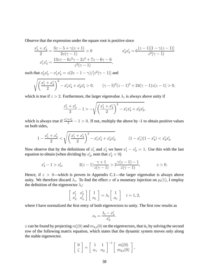Observe that the expression under the square root is positive since

$$
\frac{x'_1 + x'_4}{2} = \frac{3z - 5 + \gamma(z + 1)}{2z(\gamma - 1)} > 0
$$
  

$$
x'_1 x'_4 = \frac{13z\gamma - 6z^2\gamma - 2z^2 + 7z - 6\gamma - 6}{z^2(\gamma - 1)},
$$
  

$$
x'_1 x'_4 = \frac{13z\gamma - 6z^2\gamma - 2z^2 + 7z - 6\gamma - 6}{z^2(\gamma - 1)},
$$

such that  $x'_2x'_3 - x'_1x'_4 = z(2z - 1 - \gamma)/[z^2(\gamma - 1)]$  and

$$
\sqrt{\left(\frac{x_1'+x_4'}{2}\right)^2 - x_1'x_4' + x_2'x_3'} > 0, \qquad (\gamma - 5)^2(z - 1)^2 + 24(\gamma - 1)z(z - 1) > 0,
$$

which is true if  $z > 2$ . Furthermore, the larger eigenvalue  $\lambda_1$  is always above unity if

$$
\frac{x_1' + x_4'}{2} - 1 > -\sqrt{\left(\frac{x_1' + x_4'}{2}\right)^2 - x_1'x_4' + x_2'x_3'},
$$

which is always true if  $\frac{x'_1+x'_4}{2} - 1 > 0$ . If not, multiply the above by -1 to obtain positive values on both sides,

$$
1 - \frac{x_1' + x_4'}{2} < \sqrt{\left(\frac{x_1' + x_4'}{2}\right)^2 - x_1'x_4' + x_2'x_3'}, \qquad (1 - x_1')(1 - x_4') < x_2'x_3'.
$$

Now observe that by the definitions of  $x_1'$  $x'_1$  and  $x'_2$  we have  $x'_1 - x'_2 = 1$ . Use this with the last equation to obtain (when dividing by  $x'_2$  $\sum_{2}^{\prime}$ , note that  $x_2^{\prime} < 0$ )

$$
x'_4 - 1 > x'_3
$$
,  $2(z-1)\frac{\gamma+1}{z(\gamma-1)} > 2\frac{\gamma(z-1)-1}{z(\gamma-1)}$ ,  $z > 0$ .

Hence, if  $z > 0$ —which is proven in Appendix [C.1—](#page-46-1)the larger eigenvalue is always above unity. We therefore discard  $\lambda_1$ . To find the effect x of a monetary injection on  $p_t(1)$ , I employ the definition of the eigenvector  $\lambda_i$ :

$$
\begin{bmatrix} x_1' & x_2' \\ x_3' & x_4' \end{bmatrix} \begin{bmatrix} 1 \\ \alpha_i \end{bmatrix} = \lambda_i \begin{bmatrix} 1 \\ \alpha_i \end{bmatrix} \quad i = 1, 2,
$$

where I have normalized the first entry of both eigenvectors to unity. The first row results as

$$
\alpha_i = \frac{\lambda_i - x'_1}{x'_2}.
$$

x can be found by projecting  $m_t'(0)$  and  $m_{2,t}(0)$  on the eigenvectors, that is, by solving the second row of the following matrix equation, which states that the dynamic system moves only along the stable eigenvector.

$$
\left[\begin{array}{c}0\\ \zeta\end{array}\right]=\left[\begin{array}{cc}1 & 1\\ \alpha_1 & \alpha_2\end{array}\right]^{-1}\left[\begin{array}{c}m'_t(0)\\ m_{2,t}(0)\end{array}\right],
$$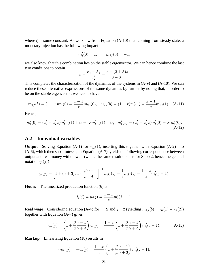where  $\zeta$  is some constant. As we know from Equation [\(A-10\)](#page-39-0) that, coming from steady state, a monetary injection has the following impact

$$
m_t'(0) = 1, \qquad m_{2,t}(0) = -x,
$$

we also know that this combination lies on the stable eigenvector. We can hence combine the last two conditions to obtain  $\mathbf{r}$ 

<span id="page-41-2"></span><span id="page-41-1"></span>
$$
x = \frac{x'_1 - \lambda_2}{x'_2} = \frac{3 - (2 + \lambda)z}{3 - 3z}.
$$

This completes the characterization of the dynamics of the systems in [\(A-9\)](#page-39-1) and [\(A-10\)](#page-39-0). We can reduce these alternative expressions of the same dynamics by further by noting that, in order to be on the stable eigenvector, we need to have

$$
m_{1,t}(b) = (1-x)m'_t(0) = \frac{x-1}{x}m_{2,t}(0), \quad m_{2,t}(b) = (1-x)m'_t(1) = \frac{x-1}{x}m_{1,t}(1). \quad \text{(A-11)}
$$

Hence,

$$
m'_t(0) = (x'_1 - x'_2 x)m'_{t-1}(1) + \epsilon_t = \lambda_2 m'_{t-1}(1) + \epsilon_t, \quad m'_t(1) = (x'_1 - x'_2 x)m'_t(0) = \lambda_2 m'_t(0).
$$
\n(A-12)

### <span id="page-41-0"></span>**A.2 Individual variables**

**Output** Solving Equation [\(A-1\)](#page-38-1) for  $c_{1,t}(1)$ , inserting this together with Equation [\(A-2\)](#page-38-3) into [\(A-6\)](#page-38-4), which then substitutes  $w_t$  in Equation [\(A-7\)](#page-38-2), yields the following correspondence between output and real money withdrawals (where the same result obtains for Shop 2, hence the general notation  $y_t(j)$ )

$$
y_t(j) = \left[1 + (\gamma + 3)/4 + \frac{\beta \gamma - 1}{\mu \cdot 4}\right]^{-1} m_{j,t}(b) = \frac{1}{z} m_{j,t}(b) = \frac{1 - x}{z} m'_t(j - 1).
$$

**Hours** The linearized production function [\(6\)](#page-12-3) is

$$
l_t(j) = y_t(j) = \frac{1-x}{z} m'_t(j-1).
$$

**Real wage** Considering equation [\(A-4\)](#page-38-5) for  $i = 2$  and  $j = 2$  (yielding  $m_{2,t}(b) = y_t(1) - \pi_t(2)$ ) together with Equation [\(A-7\)](#page-38-2) gives

<span id="page-41-3"></span>
$$
w_t(j) = \left(1 + \frac{\beta \gamma - 1}{\mu \gamma + 3}\right) y_t(j) = \frac{1 - x}{z} \left(1 + \frac{\beta \gamma - 1}{\mu \gamma + 3}\right) m'_t(j - 1).
$$
 (A-13)

**Markup** Linearizing Equation [\(18\)](#page-16-4) results in

$$
mu_t(j) = -w_t(j) = \frac{1-x}{z} \left( 1 + \frac{\beta \gamma - 1}{\mu \gamma + 3} \right) m'_t(j-1).
$$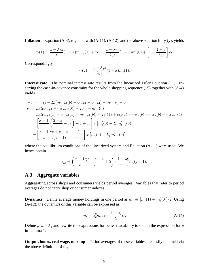**Inflation** Equation [\(A-4\)](#page-38-5), together with [\(A-11\)](#page-41-1), [\(A-12\)](#page-41-2), and the above solution for  $y_t(j)$ , yields

$$
\pi_t(1) = \frac{1 - \lambda_2 z}{z} (1 - x) m'_{t-1}(1) + x \epsilon_t = \frac{1 - \lambda_2 z}{\lambda_2 z} (1 - x) m'_t(0) + \left[ 1 - \frac{1 - x}{\lambda_2 z} \right] \epsilon_t.
$$

Correspondingly,

$$
\pi_t(2) = \frac{1 - \lambda_2 z}{\lambda_2 z} (1 - x) m'_t(1).
$$

**Interest rate** The nominal interest rate results from the linearized Euler Equation [\(11\)](#page-14-4). Inserting the cash-in-advance constraint for the whole shopping sequence [\(15\)](#page-14-1) together with [\(A-4\)](#page-38-5) yields

$$
-c_{1,t} = i_{1,t} + E_t[m_{1,t+1}(b) - c_{1,t+1} - c_{1,t+1}] - m_{1,t}(b) + c_{1,t}
$$
  
\n
$$
i_{1,t} = E_t[2c_{1,t+1} - m_{1,t+1}(0)] - 2c_{1,t} + m_{1,t}(0)
$$
  
\n
$$
= E_t[2y_{t+1}(1) - c_{2,t+1}(1) + m_{2,t+1}(b)] - 2y_t(1) + c_{2,t}(1) - m_{2,t}(b) + m_{1,t}(b) - m_{1,t+1}(b)
$$
  
\n
$$
= \left[\frac{x-1}{x}\left(\frac{2-z}{z} + x_3\right) - 1 + x_4\right]x\left[m'_t(0) - E_t m'_{t+1}(0)\right]
$$
  
\n
$$
= \left[\frac{x-1}{x}\frac{\gamma z + z - 4}{z(\gamma - 1)} + \frac{2}{\gamma - 1}\right]x\left[m'_t(0) - E_t m'_{t+1}(0)\right],
$$

where the equilibrium conditions of the linearized system and Equation [\(A-11\)](#page-41-1) were used. We hence obtain

$$
i_{j,t} = \left(\frac{x-1}{x}\frac{\gamma z + z - 4}{z} + 2\right)x\frac{1-\lambda_2^2}{\gamma - 1}m'_t(j-1).
$$

### <span id="page-42-0"></span>**A.3 Aggregate variables**

Aggregating across shops and consumers yields period averages. Variables that refer to period averages do not carry shop or consumer indexes.

**Dynamics** Define average money holdings in one period as  $\hat{m}_t \equiv [m'_t(1) + m'_t(0)]/2$ . Using [\(A-12\)](#page-41-2), the dynamics of this variable can be expressed as

<span id="page-42-1"></span>
$$
\hat{m}_t = \lambda_2^2 \hat{m}_{t-1} + \frac{1 + \lambda_2}{2} \epsilon_t.
$$
\n(A-14)

Define  $\rho \equiv -\lambda_2$  and rewrite the expressions for better readability to obtain the expression for  $\rho$ in Lemma [1.](#page-19-0)

**Output, hours, real wage, markup** Period averages of these variables are easily obtained via the above definition of  $\hat{m}_t$ .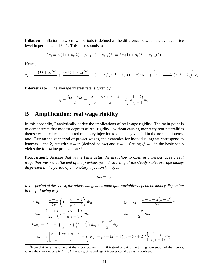**Inflation** Inflation between two periods is defined as the difference between the average price level in periods t and  $t-1$ . This corresponds to

$$
2\pi_t = p_t(1) + p_t(2) - p_{t-1}(1) - p_{t-1}(2) = 2\pi_t(1) + \pi_t(2) + \pi_{t-1}(2).
$$

Hence,

$$
\pi_t = \frac{\pi_t(1) + \pi_t(2)}{2} + \frac{\pi_t(1) + \pi_{t-1}(2)}{2} = (1 + \lambda_2)(z^{-1} - \lambda_2)(1 - x)\hat{m}_{t-1} + \left[x + \frac{1 - x}{2}(z^{-1} - \lambda_2)\right]\epsilon_t.
$$

**Interest rate** The average interest rate is given by

$$
i_t = \frac{i_{1,t} + i_{2,t}}{2} = \left[\frac{x-1}{x} \frac{\gamma z + z - 4}{z} + 2\right] x \frac{1 - \lambda_2^2}{\gamma - 1} \hat{m}_t.
$$

# <span id="page-43-0"></span>**B Amplification: real wage rigidity**

In this appendix, I analytically derive the implications of real wage rigidity. The main point is to demonstrate that modest degrees of real rigidity—without causing monetary non-neutralities themselves—reduce the required monetary injection to obtain a given fall in the nominal interest rate. During the subperiod of pre-set wages, the dynamics for individual agents correspond to lemmas [1](#page-19-0) and [2,](#page-19-1) but with  $x = x'$  (defined below) and  $z = 1$ . Setting  $\xi^r = 1$  in the basic setup yields the following proposition.<sup>[24](#page-43-1)</sup>

**Proposition 3** *Assume that in the basic setup the first shop to open in a period faces a real wage that was set at the end of the previous period. Starting at the steady state, average money dispersion in the period of a monetary injection*  $(t=0)$  *is* 

<span id="page-43-2"></span>
$$
\hat{m}_0=\epsilon_0.
$$

*In the period of the shock, the other endogenous aggregate variables depend on money dispersion in the following way*

$$
mu_0 = -\frac{1-x}{2z} \left( 1 + \frac{\beta \gamma - 1}{\mu \gamma + 3} \right) \hat{m}_0
$$
  
\n
$$
w_0 = \frac{1-x}{2z} \left( 1 + \frac{\beta \gamma - 1}{\mu \gamma + 3} \right) \hat{m}_0
$$
  
\n
$$
w_0 = \frac{1-x}{2z} \left( 1 + \frac{\beta \gamma - 1}{\mu \gamma + 3} \right) \hat{m}_0
$$
  
\n
$$
F_0 \pi_1 = (1-x) \left( \frac{1}{z} + \rho \right) \left( 1 - \frac{\rho}{2} \right) \hat{m}_0 + \frac{x-x'}{2} \hat{m}_0
$$
  
\n
$$
i_0 = \left\{ \left[ \frac{x-1}{x} \frac{\gamma z + z - 4}{z} + 2 \right] x(1-\rho) + (x'-1)(\gamma - 3) + 2x' \right\} \frac{1+\rho}{2(\gamma - 1)} \hat{m}_0,
$$

<span id="page-43-1"></span><sup>24</sup>Note that here I assume that the shock occurs in  $t = 0$  instead of using the timing convention of the figures, where the shock occurs in  $t = 1$ . Otherwise, time and agent indexes could be easily confused.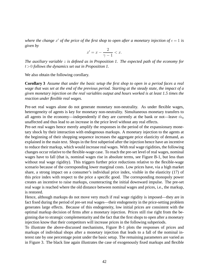where the change  $x'$  of the price of the first shop to open after a monetary injection of  $\epsilon = 1$  is *given by*

<span id="page-44-0"></span>
$$
x' = x - \frac{2}{\gamma - 1} < x.
$$

*The auxiliary variable* z *is defined as in Proposition [1.](#page-19-2) The expected path of the economy for* t>0 *follows the dynamics set out in Proposition [1.](#page-19-2)*

We also obtain the following corollary.

**Corollary 3** *Assume that under the basic setup the first shop to open in a period faces a real wage that was set at the end of the previous period. Starting at the steady state, the impact of a given monetary injection on the real variables output and hours worked is at least 1.5 times the reaction under flexible real wages.*

Pre-set real wages alone do not generate monetary non-neutrality. As under flexible wages, heterogeneity of agents is key for monetary non-neutrality. Simultaneous monetary transfers to all agents in the economy—independently if they are currently at the bank or not—leave  $\hat{m}_0$ unaffected and thus lead to an increase in the price level without any real effects.

Pre-set real wages hence merely amplify the responses in the period of the expansionary monetary shock by their interaction with endogenous markups. A monetary injection to the agents at the beginning of their shopping sequence increases the aggregate price elasticity of demand, as explained in the main text. Shops in the first subperiod after the injection hence have an incentive to reduce their markup, which would increase real wages. With real wage rigidities, the following changes occur relative to the flexible-wage case. To reach the pre-set level of real wages, nominal wages have to fall (that is, nominal wages rise in absolute terms, see Figure [B-1,](#page-45-0) but less than without real wage rigidity). This triggers further price reductions relative to the flexible-wage scenario because of the corresponding lower marginal costs. Low prices have, via a high market share, a strong impact on a consumer's individual price index, visible in the elasticity [\(17\)](#page-15-2) of this price index with respect to the price a specific good. The corresponding monopoly power creates an incentive to raise markups, counteracting the initial downward impulse. The pre-set real wage is reached where the old distance between nominal wages and prices, i.e., the markup, is restored.

Hence, although markups do not move very much if real wage rigidity is imposed—they are in fact fixed during the period of pre-set real wages—their endogeneity in the price-setting problem generates large effects. Because of this endogeneity, low initial prices are consistent with the optimal markup decision of firms after a monetary injection. Prices still rise right from the beginning due to strategic complementarity and the fact that the first shops to open after a monetary injection know that their competitors will increase prices in the following subperiods.

To illustrate the above-discussed mechanisms, Figure [B-1](#page-45-0) plots the responses of prices and markups of individual shops after a monetary injection that leads to a fall of the nominal interest rate by one percentage point under the basic setup. The remaining parameters are varied as in Figure [3.](#page-23-0) The black line again illustrates the case of exogenously fixed markups and flexible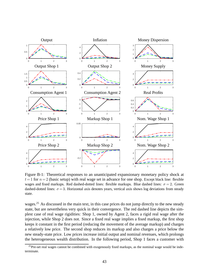

<span id="page-45-0"></span>Figure B-1: Theoretical responses to an unanticipated expansionary monetary policy shock at  $t= 1$  for  $n= 2$  (basic setup) with real wage set in advance for one shop. Except black line: flexible wages and fixed markups. Red dashed-dotted lines: flexible markups. Blue dashed lines:  $\sigma = 2$ . Green dashed-dotted lines:  $\sigma = 3$ . Horizontal axis denotes years, vertical axis shows log deviations from steady state.

wages.<sup>[25](#page-45-1)</sup> As discussed in the main text, in this case prices do not jump directly to the new steady state, but are nevertheless very quick in their convergence. The red dashed line depicts the simplest case of real wage rigidities: Shop 1, owned by Agent 2, faces a rigid real wage after the injection, while Shop 2 does not. Since a fixed real wage implies a fixed markup, the first shop keeps it constant in the first period (reducing the movement of the average markup) and charges a relatively low price. The second shop reduces its markup and also charges a price below the new steady-state price. Low prices increase initial output and nominal revenues, which prolongs the heterogeneous wealth distribution. In the following period, Shop 1 faces a customer with

<span id="page-45-1"></span><sup>&</sup>lt;sup>25</sup>Pre-set real wages cannot be combined with exogenously fixed markups, as the nominal wage would be indeterminate.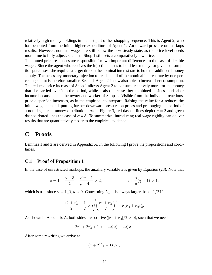relatively high money holdings in the last part of her shopping sequence. This is Agent 2, who has benefited from the initial higher expenditure of Agent 1. An upward pressure on markups results. However, nominal wages are still below the new steady state, as the price level needs more time to fully adjust, such that Shop 1 still sets a comparatively low price.

The muted price responses are responsible for two important differences to the case of flexible wages. Since the agent who receives the injection needs to hold less money for given consumption purchases, she requires a larger drop in the nominal interest rate to hold the additional money supply. The necessary monetary injection to reach a fall of the nominal interest rate by one percentage point is therefore smaller. Second, Agent 2 is now also able to increase her consumption. The reduced price increase of Shop 1 allows Agent 2 to consume relatively more for the money that she carried over into the period, while it also increases her combined business and labor income because she is the owner and worker of Shop 1. Visible from the individual reactions, price dispersion increases, as in the empirical counterpart. Raising the value for  $\sigma$  reduces the initial wage demand, putting further downward pressure on prices and prolonging the period of a non-degenerate money distribution. As in Figure [3,](#page-23-0) red dashed lines depict  $\sigma = 2$  and green dashed-dotted lines the case of  $\sigma = 3$ . To summarize, introducing real wage rigidity can deliver results that are quantitatively closer to the empirical evidence.

# <span id="page-46-0"></span>**C Proofs**

Lemmas [1](#page-19-0) and [2](#page-19-1) are derived in Appendix [A.](#page-38-0) In the following I prove the propositions and corollaries.

### <span id="page-46-1"></span>**C.1 Proof of Proposition [1](#page-19-2)**

In the case of unrestricted markups, the auxiliary variable  $z$  is given by Equation [\(23\)](#page-19-4). Note that

$$
z = 1 + \frac{\gamma + 3}{4} + \frac{\beta \gamma - 1}{\mu \ 4} > 2,
$$
  $\gamma + \frac{\beta}{\mu}(\gamma - 1) > 1,$ 

which is true since  $\gamma > 1$ ,  $\beta$ ,  $\mu > 0$ . Concerning  $\lambda_2$ , it is always larger than  $-1/2$  if

$$
\frac{x_1' + x_4'}{2} + \frac{1}{2} > \sqrt{\left(\frac{x_1' + x_4'}{2}\right)^2 - x_1'x_4' + x_2'x_3'}.
$$

As shown in Appendix [A,](#page-38-0) both sides are positive  $([x'_1 + x'_2])$  $\binom{1}{4}/2 > 0$ ), such that we need

> $2x'_1 + 2x'_4 + 1 > -4x'_1x'_4 + 4x'_2x'_3$ ,<br>3.

After some rewriting we arrive at

$$
(z+2)(\gamma-1) > 0
$$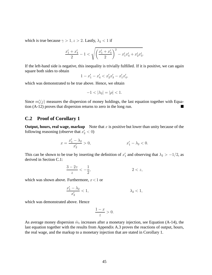which is true because  $\gamma > 1$ ,  $z > 2$ . Lastly,  $\lambda_2 < 1$  if

$$
\frac{x_1' + x_4'}{2} - 1 < \sqrt{\left(\frac{x_1' + x_4'}{2}\right)^2 - x_1'x_4' + x_2'x_3'}.
$$

If the left-hand side is negative, this inequality is trivially fulfilled. If it is positive, we can again square both sides to obtain

$$
1 - x_1' - x_4' < x_2'x_3' - x_1'x_4',
$$

which was demonstrated to be true above. Hence, we obtain

$$
-1 < |\lambda_2| = |\rho| < 1.
$$

Since  $m_t'(j)$  measures the dispersion of money holdings, the last equation together with Equation [\(A-12\)](#page-41-2) proves that dispersion returns to zero in the long run.

### **C.2 Proof of Corollary [1](#page-19-3)**

**Output, hours, real wage, markup** Note that  $x$  is positive but lower than unity because of the following reasoning (observe that  $x'_2 < 0$ )

$$
x = \frac{x'_1 - \lambda_2}{x'_2} > 0, \qquad x'_1 - \lambda_2 < 0.
$$

This can be shown to be true by inserting the definition of  $x_1'$  $\frac{1}{1}$  and observing that  $\lambda_2 > -1/2$ , as derived in Section [C.1:](#page-46-1)

$$
\frac{3-2z}{z} < -\frac{1}{2}, \qquad \qquad 2 < z,
$$

which was shown above. Furthermore,  $x < 1$  or

$$
\frac{x_1' - \lambda_2}{x_2'} < 1, \qquad \lambda_2 < 1,
$$

which was demonstrated above. Hence

$$
\frac{1-x}{z} > 0.
$$

As average money dispersion  $\hat{m}_t$  increases after a monetary injection, see Equation [\(A-14\)](#page-42-1), the last equation together with the results from Appendix [A.3](#page-42-0) proves the reactions of output, hours, the real wage, and the markup to a monetary injection that are stated in Corollary [1.](#page-19-3)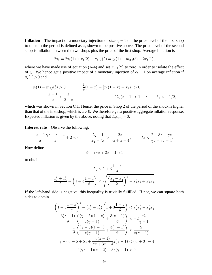**Inflation** The impact of a monetary injection of size  $\epsilon_t = 1$  on the price level of the first shop to open in the period is defined as  $x$ , shown to be positive above. The price level of the second shop is inflation between the two shops plus the price of the first shop. Average inflation is

$$
2\pi_t = 2\pi_t(1) + \pi_t(2) + \pi_{t-1}(2) = y_t(1) - m_{2,t}(b) + 2\pi_t(1),
$$

where we have made use of equation [\(A-4\)](#page-38-5) and set  $\pi_{t-1}(2)$  to zero in order to isolate the effect of  $\epsilon_t$ . We hence get a positive impact of a monetary injection of  $\epsilon_t = 1$  on average inflation if  $\pi_t(1)$  > 0 and

$$
y_t(1) - m_{2,t}(b) > 0, \qquad \frac{1}{z}(1-x) - [x_1(1-x) - x_2x] > 0
$$

$$
\frac{x-1}{x} > \frac{z}{2-z}, \qquad 2\lambda_2(z-1) > 1-z, \qquad \lambda_2 > -1/2,
$$

which was shown in Section [C.1.](#page-46-1) Hence, the price in Shop 2 of the period of the shock is higher than that of the first shop, which is  $x>0$ . We therefore get a positive aggregate inflation response. Expected inflation is given by the above, noting that  $E_t \epsilon_{t+1} = 0$ .

**Interest rate** Observe the following:

$$
\frac{x-1}{x}\frac{\gamma z+z-4}{z}+2<0, \qquad \frac{\lambda_2-1}{x_1'-\lambda_2} > \frac{2z}{\gamma z+z-4}, \qquad \lambda_2 < \frac{2-3z+\gamma z}{\gamma z+3z-4}.
$$

Now define

$$
\vartheta \equiv \left( \gamma z + 3z - 4 \right) / 2
$$

to obtain

$$
\lambda_2 < 1 + 3\frac{1-z}{\vartheta}
$$
\n
$$
\frac{x_1' + x_4'}{2} - \left(1 + 3\frac{1-z}{\vartheta}\right) < \sqrt{\left(\frac{x_1' + x_4'}{2}\right)^2 - x_1'x_4' + x_2'x_3'}
$$

If the left-hand side is negative, this inequality is trivially fulfilled. If not, we can square both sides to obtain

$$
\left(1+3\frac{1-z}{\vartheta}\right)^2 - (x_1' + x_4')\left(1+3\frac{1-z}{\vartheta}\right) < x_2'x_3' - x_1'x_4'
$$
\n
$$
\frac{3(z-1)}{\vartheta}\left(\frac{(\gamma-5)(1-z)}{z(\gamma-1)} + \frac{3(z-1)}{\vartheta}\right) < -2\frac{x_2'}{\gamma-1}
$$
\n
$$
\frac{1}{\vartheta}\left(\frac{(\gamma-5)(1-z)}{z(\gamma-1)} + \frac{3(z-1)}{\vartheta}\right) < \frac{2}{z(\gamma-1)}
$$
\n
$$
\gamma - \gamma z - 5 + 5z + \frac{6(z-1)}{\gamma z + 3z - 4}z(\gamma - 1) < \gamma z + 3z - 4
$$
\n
$$
2(\gamma z - 1)(z - 2) + 3z(\gamma - 1) > 0,
$$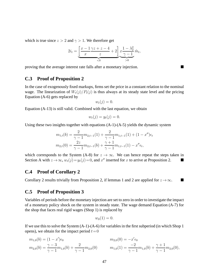which is true since  $z > 2$  and  $\gamma > 1$ . We therefore get

$$
2i_t = \underbrace{\left[\frac{x-1}{x}\frac{\gamma z + z - 4}{z} + 2\right]}_{< 0} \underbrace{x\frac{1-\lambda_2^2}{\gamma-1}}_{> 0} \hat{m}_t,
$$

proving that the average interest rate falls after a monetary injection.

### **C.3 Proof of Proposition [2](#page-21-3)**

In the case of exogenously fixed markups, firms set the price in a constant relation to the nominal wage. The linearization of  $W_t(j)/P_t(j)$  is thus always at its steady state level and the pricing Equation [\(A-6\)](#page-38-4) gets replaced by

$$
w_t(j)=0.
$$

Equation [\(A-13\)](#page-41-3) is still valid. Combined with the last equation, we obtain

$$
w_t(j) = y_t(j) = 0.
$$

Using these two insights together with equations  $(A-1)-(A-5)$  $(A-1)-(A-5)$  yields the dynamic system

$$
m_{1,t}(b) = \frac{2}{\gamma - 1} m_{2,t-1}(1) + \frac{2}{\gamma - 1} m_{1,t-1}(1) + (1 - x'')\epsilon_t
$$
  

$$
m_{2,t}(0) = \frac{2z}{\gamma - 1} m_{2,t-1}(b) + \frac{\gamma + 1}{\gamma - 1} m_{1,t-1}(1) - x''\epsilon_t,
$$

which corresponds to the System [\(A-8\)](#page-39-2) for  $z \to \infty$ . We can hence repeat the steps taken in Section [A](#page-38-0) with  $z \to \infty$ ,  $w_t(j) = y_t(j) = 0$ , and  $x''$  inserted for x to arrive at Proposition [2.](#page-21-3) ■

### **C.4 Proof of Corollary [2](#page-21-2)**

Corollary [2](#page-19-1) results trivially from Proposition [2,](#page-21-3) if lemmas [1](#page-19-0) and 2 are applied for  $z \rightarrow \infty$ .

#### **C.5 Proof of Proposition [3](#page-43-2)**

Variables of periods before the monetary injection are set to zero in order to investigate the impact of a monetary policy shock on the system in steady state. The wage demand Equation [\(A-7\)](#page-38-2) for the shop that faces real rigid wages (Shop 1) is replaced by

$$
w_0(1)=0.
$$

If we use this to solve the System [\(A-1\)](#page-38-1)-[\(A-6\)](#page-38-4) for variables in the first subperiod (in which Shop 1 opens), we obtain for the impact period  $t=0$ 

$$
m_{1,0}(b) = (1 - x')\epsilon_0
$$
  
\n
$$
m_{2,0}(b) = \frac{\gamma - 3}{\gamma - 1}m_{1,0}(b) + \frac{2}{\gamma - 1}m_{2,0}(0)
$$
  
\n
$$
m_{1,0}(1) = \frac{-2}{\gamma - 1}m_{1,0}(b) + \frac{\gamma + 1}{\gamma - 1}m_{2,0}(0),
$$
  
\n
$$
m_{1,0}(1) = \frac{-2}{\gamma - 1}m_{1,0}(b) + \frac{\gamma + 1}{\gamma - 1}m_{2,0}(0),
$$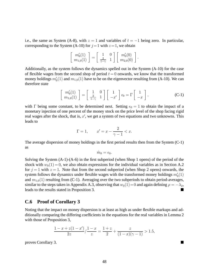i.e., the same as System [\(A-8\)](#page-39-2), with  $z = 1$  and variables of  $t = -1$  being zero. In particular, corresponding to the System [\(A-10\)](#page-39-0) for  $j = 1$  with  $z = 1$ , we obtain

$$
\begin{bmatrix} m'_0(1) \\ m_{1,0}(1) \end{bmatrix} = \begin{bmatrix} 1 & 0 \\ \frac{2}{1-\gamma} & 1 \end{bmatrix} \begin{bmatrix} m'_0(0) \\ m_{2,0}(0) \end{bmatrix}.
$$

Additionally, as the system follows the dynamics spelled out in the System [\(A-10\)](#page-39-0) for the case of flexible wages from the second shop of period  $t = 0$  onwards, we know that the transformed money holdings  $m'_0(1)$  and  $m_{1,0}(1)$  have to be on the eigenvector resulting from [\(A-10\)](#page-39-0). We can therefore state

$$
\begin{bmatrix} m_0'(1) \\ m_{1,0}(1) \end{bmatrix} = \begin{bmatrix} 1 & 0 \\ \frac{2}{1-\gamma} & 1 \end{bmatrix} \begin{bmatrix} 1 \\ -x' \end{bmatrix} \epsilon_0 = \Gamma \begin{bmatrix} 1 \\ -x \end{bmatrix},
$$
 (C-1)

with Γ being some constant, to be determined next. Setting  $\epsilon_0 = 1$  to obtain the impact of a monetary injection of one percent of the money stock on the price level of the shop facing rigid real wages after the shock, that is,  $x'$ , we get a system of two equations and two unknowns. This leads to

$$
\Gamma = 1
$$
,  $x' = x - \frac{2}{\gamma - 1} < x$ .

The average dispersion of money holdings in the first period results then from the System [\(C-1\)](#page-50-0) as

<span id="page-50-0"></span>
$$
\hat{m}_0=\epsilon_0.
$$

Solving the System [\(A-1\)](#page-38-1)-[\(A-6\)](#page-38-4) in the first subperiod (when Shop 1 opens) of the period of the shock with  $w_0(1) = 0$ , we also obtain expressions for the individual variables as in Section [A.2](#page-41-0) for  $j = 1$  with  $z = 1$ . Note that from the second subperiod (when Shop 2 opens) onwards, the system follows the dynamics under flexible wages with the transformed money holdings  $m'_0(1)$ and  $m_{1,0}(1)$  resulting from [\(C-1\)](#page-50-0). Averaging over the two subperiods to obtain period-averages, similar to the steps taken in Appendix [A.3,](#page-42-0) observing that  $w_0(1)=0$  and again defining  $\rho = -\lambda_2$ , leads to the results stated in Proposition [3.](#page-43-2)

### **C.6 Proof of Corollary [3](#page-44-0)**

Noting that the impact on money dispersion is at least as high as under flexible markups and additionally comparing the differing coefficients in the equations for the real variables in Lemma [2](#page-19-1) with those of Proposition [3,](#page-43-2)

$$
\frac{1-x+z(1-x')}{2z} / \frac{1-x}{z} = \frac{1+z}{2} + \frac{z}{(1-x)(\gamma - 1)} > 1.5,
$$

proves Corollary [3.](#page-44-0)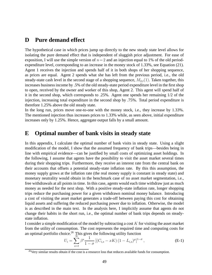# <span id="page-51-0"></span>**D Pure demand effect**

The hypothetical case in which prices jump up directly to the new steady state level allows for isolating the pure demand effect that is independent of sluggish price adjustment. For ease of exposition, I will use the simple version of  $n=2$  and an injection equal to 1% of the old periodexpenditure level, corresponding to an increase in the money stock of 1.33%, see Equation [\(21\)](#page-17-2). Agent 1 receives the injection and spends half of it in both shops of her shopping sequence, as prices are equal. Agent 2 spends what she has left from the previous period, i.e., the old steady-state cash level in the second stage of a shopping sequence,  $M_{2,t}(1)$ . Taken together, this increases business income by .5% of the old steady-state period expenditure level in the first shop to open, received by the owner and worker of this shop, Agent 2. This agent will spend half of it in the second shop, which corresponds to .25%. Agent one spends her remaining 1/2 of the injection, increasing total expenditure in the second shop by .75%. Total period expenditure is therefore 1.25% above the old steady state.

In the long run, prices move one-to-one with the money stock, i.e., they increase by 1.33%. The mentioned injection thus increases prices to 1.33% while, as seen above, initial expenditure increases only by 1.25%. Hence, aggregate output falls by a small amount.

## <span id="page-51-1"></span>**E Optimal number of bank visits in steady state**

In this appendix, I calculate the optimal number of bank visits in steady state. Using a slight modification of the model, I show that the assumed frequency of bank trips—besides being in line with empirical evidence—can be justified by small costs of optimizing asset holdings. In the following, I assume that agents have the possibility to visit the asset market several times during their shopping trips. Furthermore, they receive an interest rate from the central bank on their accounts that offsets a potential steady-state inflation rate. By this this assumption, the money supply grows at the inflation rate (the real money supply is constant in steady state) and monetary neutrality would obtain in the benchmark case of no asset market segmentation, i.e., free withdrawals at all points in time. In this case, agents would each time withdraw just as much money as needed for the next shop. With a positive steady-state inflation rate, longer shopping trips reduce the purchasing power for a given withdrawn nominal money balance. Introducing a cost of visiting the asset market generates a trade-off between paying this cost for obtaining liquid assets and suffering the reduced purchasing power due to inflation. Otherwise, the model is as described in the main text. In the analysis here, I implicitly assume that agents do not change their habits in the short run, i.e., the optimal number of bank trips depends on steadystate inflation.

I consider a simple modification of the model by subtracting a cost  $K$  for visiting the asset market from the utility of consumption. The cost represents the required time and computing costs for an optimal portfolio choice.<sup>[26](#page-51-2)</sup> This gives the following utility function

<span id="page-51-3"></span>
$$
U_i = \sum_{s=t}^{\infty} \beta^s \frac{1}{1-\sigma} \left[ (C_{i,s} - xK) (1 - L_{i,s})^{\mu} \right]^{1-\sigma},
$$
 (E-1)

<span id="page-51-2"></span><sup>&</sup>lt;sup>26</sup>Very similar results obtain if the cost is a resource loss that reduces available funds for consumption.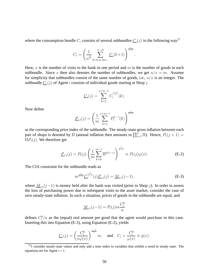where the consumption bundle  $C_i$  consists of several subbundles  $\underline{C}_i(j)$  in the following way<sup>[27](#page-52-0)</sup>

$$
C_i = \left(\frac{1}{n^{\frac{1}{\gamma}}}\sum_{k=0,m,2m...}^{n-m} \underline{C}_i(k+1)\right)^{\frac{\gamma}{\gamma-1}}.
$$

Here, x is the number of visits to the bank in one period and  $m$  is the number of goods in each subbundle. Since x then also denotes the number of subbundles, we get  $n/x = m$ . Assume for simplicity that subbundles consist of the same number of goods, i.e.,  $n/x$  is an integer. The subbundle  $\underline{C}_i(j)$  of Agent i consists of individual goods starting at Shop j

$$
C_i(j) = \sum_{k=j}^{j+m-1} C_i^{\frac{\gamma-1}{\gamma}}(k).
$$

Now define

$$
\underline{P}_{i,t}(j) = \left(\frac{1}{m} \sum_{k=j}^{j+m-1} P_t^{1-\gamma}(k)\right)^{\frac{1}{1-\gamma}}
$$

as the corresponding price index of the subbundle. The steady-state gross inflation between each pair of shops is denoted by  $\Pi$  (annual inflation then amounts to  $\prod_{i=1}^{n} \Pi$ ). Hence,  $P_t(j+1) =$  $\Pi P_t(j)$ . We therefore get

<span id="page-52-2"></span>
$$
\underline{P}_{i,t}(j) = P_t(j) \left( \frac{1}{m} \sum_{k=0}^{m-1} \Pi^{k(1-\gamma)} \right)^{\frac{1}{1-\gamma}} \equiv P_t(j) \varphi(x).
$$
 (E-2)

The CIA constraint for the subbundle reads as

<span id="page-52-1"></span>
$$
m^{\frac{1}{1-\gamma}} \underline{C}_i^{\frac{\gamma}{\gamma-1}}(j) \underline{P}_{i,t}(j) = \underline{M}_{i,t}(j-1),
$$
 (E-3)

where  $M_{i,t}(j-1)$  is money held after the bank was visited (prior to Shop j). In order to assess the loss of purchasing power due to infrequent visits to the asset market, consider the case of zero steady-state inflation. In such a situation, prices of goods in the subbundle are equal, and

$$
\underline{M}_{i,t}(j-1) = P_t(j)m \frac{C_i^0}{n}
$$

defines  $C_i^0/n$  as the (equal) real amount per good that the agent would purchase in this case. Inserting this into Equation [\(E-3\)](#page-52-1), using Equation [\(E-2\)](#page-52-2), yields

$$
\underline{C}_i(j) = \left(\frac{C_i^0}{n\varphi(x)}\right)^{\frac{\gamma-1}{\gamma}} m, \text{ and } C_i = \frac{C_i^0}{\varphi(x)} \equiv g(x).
$$

<span id="page-52-0"></span> $^{27}$ I consider steady-state values and only add a time index to variables that exhibit a trend in steady state. The equations are for Agent  $i = 1$ .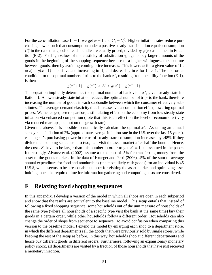For the zero-inflation case  $\Pi = 1$ , we get  $\varphi = 1$  and  $C_i = C_i^0$ . Higher inflation rates reduce purchasing power, such that consumption under a positive steady-state inflation equals consumption  $C_i^0$  in the case that goods of each bundle are equally priced, divided by  $\varphi(x)$  as defined in Equa-tion [\(E-2\)](#page-52-2). For high values of the elasticity of substitution  $\gamma$ , agents buy larger amounts of the goods in the beginning of the shopping sequence because of a higher willingness to substitute between goods, thereby avoiding coming price increases. This lowers  $\varphi$  for a given value of  $\Pi$ .  $g(x) - g(x-1)$  is positive and increasing in  $\Pi$ , and decreasing in x for  $\Pi > 1$ . The first-order condition for the optimal number of trips to the bank  $x^*$ , resulting from the utility function [\(E-1\)](#page-51-3), is then

$$
g(x^* + 1) - g(x^*) < K < g(x^*) - g(x^* - 1).
$$

This equation implicitly determines the optimal number of bank visits  $x^*$ , given steady-state inflation Π. A lower steady-state inflation reduces the optimal number of trips to the bank, therefore increasing the number of goods in each subbundle between which the consumer effectively substitutes. The average demand elasticity thus increases via a competition effect, lowering optimal prices. We hence get, ceteris paribus, a stimulating effect on the economy from low steady-state inflation via enhanced competition (note that this is an effect on the level of economic activity via reduced markups, but not on the growth rate).

Given the above, it is possible to numerically calculate the optimal  $x^*$ . Assuming an annual steady-state inflation of 2% (approximate average inflation rate in the U.S. over the last 15 years), each agent's purchasing power in terms of steady-state consumption increases by .48% if they divide the shopping sequence into two, i.e., visit the asset market after half the bundle. Hence, the costs K have to be larger than this number in order to get  $x^* = 1$ , as assumed in the paper. Interestingly, [Alvarez et al. \(2002\)](#page-33-5) assume a fixed cost of .5% for transferring money from the asset to the goods market. In the data of [Krueger and Perri \(2006](#page-36-13)), .5% of the sum of average annual expenditure for food and nondurables (the most likely cash goods) for an individual is 45 U.S.\$, which seems to be a reasonable number for visiting the asset market and optimizing asset holding, once the required time for information gathering and computing costs are considered.

# <span id="page-53-0"></span>**F Relaxing fixed shopping sequences**

In this appendix, I develop a version of the model in which all shops are open in each subperiod and show that the results are equivalent to the baseline model. This setup entails that instead of following a fixed shopping sequence, some households out of the unit measure of households of the same type (where all households of a specific type visit the bank at the same time) buy their goods in a certain order, while other households follow a different order. Households can also change the order of shops from sequence to sequence. To avoid confusion when comparing this version to the baseline model, I extend the model by enlarging each shop to a department store, in which the different departments sell the goods that were previously sold by single stores, while keeping the rest of the setup as before. In this way, households shop at different departments and hence buy different goods in different orders. Furthermore, following an expansionary monetary policy shock, all departments are visited by a fraction of those households that have just received a monetary injection.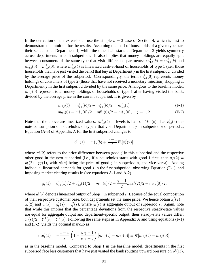In the derivation of the extension, I use the simple  $n = 2$  case of Section [4,](#page-18-0) which is best to demonstrate the intuition for the results. Assuming that half of households of a given type start their sequence at Department 1, while the other half starts at Department 2 yields symmetry across departments in both subperiods. It also implies that money holdings are equally split between consumers of the same type that visit different departments:  $m_{1,t}^1(b) = m_{1,t}^2(b)$  and  $m_{2,t}^1(0) = m_{2,t}^2(0)$ , where  $m_{1,t}^j(b)$  is linearized cash-at-hand of households of type 1 (i.e., those households that have just visited the bank) that buy at Department  $j$  in the first subperiod, divided by the average price of the subperiod. Correspondingly, the term  $m_{2,t}^j(0)$  represents money holdings of consumers of type 2 (those that have not received a monetary injection) shopping at Department  $j$  in the first subperiod divided by the same price. Analogous to the baseline model,  $m_{1,t}(0)$  represent total money holdings of households of type 1 after having visited the bank, divided by the average price in the current subperiod. It is given by

$$
m_{1,t}(b) = m_{1,t}^1(b)/2 + m_{1,t}^2(b)/2 = m_{1,t}^j(b)
$$
 (F-1)

$$
m_{2,t}(0) = m_{2,t}^1(0)/2 + m_{2,t}^2(0)/2 = m_{2,t}^j(0), \quad j = 1, 2.
$$
 (F-2)

Note that the above are linearized values;  $M_{1,t}^{j}(b)$  in levels is half of  $M_{1,t}(b)$ . Let  $c_{i,t}^{j}(s)$  denote consumption of households of type i that visit Department j in subperiod s of period t. Equation [\(A-5\)](#page-38-6) of Appendix [A](#page-38-0) for the first subperiod changes to

<span id="page-54-1"></span><span id="page-54-0"></span>
$$
c_{1,t}^j(1) = m_{1,t}^j(b) + \frac{\gamma - 1}{2} E_t[\pi_t^j(2)],
$$

where  $\pi_t^j$  $t^j(t)$  refers to the price difference between good j in this subperiod and the respective other good in the next subperiod (i.e., if a households starts with good 1 first, then  $\pi_t^1(2)$  =  $p_t^2(2) - p_t^1(1)$ , with  $p_t^j$  $t_i(s)$  being the price of good j in subperiod s, and vice versa). Adding individual linearized demands for good  $j$  in the first subperiod, observing Equation [\(F-1\)](#page-54-0), and imposing market clearing results in (see equations [A-1](#page-38-1) and [A-2\)](#page-38-3)

$$
y_t^j(1) = c_{1,t}^j(1)/2 + c_{2,t}^j(1)/2 = m_{1,t}(b)/2 + \frac{\gamma - 1}{2} E_t \pi_t^j(2)/2 + m_{2,t}(0)/2,
$$

where  $y_t^j$  $t^j(s)$  denotes linearized output of Shop  $j$  in subperiod  $s$ . Because of the equal composition of their respective customer base, both departments set the same price. We hence obtain  $\pi_t^j$  $t^{j}(2) =$  $\pi_t(2)$  and  $y_t(s) = y_t^1(s) = y_t^2(s)$ , where  $y_t(s)$  is aggregate output of supperiod s. Again, note that while this implies that the percentage deviations from the respective steady-state values are equal for aggregate output and department-specific output, their steady-state values differ:  $Y(s)/2 = Y^1(s) = Y^2(s)$ . Following the same steps as in [A](#page-38-0)ppendix A and using equations [\(F-1\)](#page-54-0) and [\(F-2\)](#page-54-1) yields the optimal markup as

$$
m u_t^j(1) = -\frac{1-x}{x} \left( 1 + \frac{\beta \gamma - 1}{\mu \gamma + 3} \right) [m_{1,t}(b) - m_{2,t}(0)] \equiv \Psi[m_{1,t}(b) - m_{2,t}(0)],
$$

as in the baseline model. Compared to Shop 1 in the baseline model, departments in the first subperiod face less customers that have just visited the bank (putting upward pressure on  $p_t^j$  $\frac{J}{t}(1)),$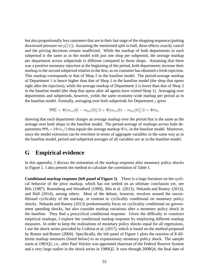but also proportionally less customers that are in their last stage of the shopping sequence (putting downward pressure on  $p_t^j$  $t<sub>t</sub>(1)$ ). Assuming the mentioned split in half, these effects exactly cancel and the pricing decisions remain unaffected. While the markup of both departments in each subperiod is the same as in the model with just one shop per subperiod, the average markup per department across subperiods is different compared to those shops. Assuming that there was a positive monetary injection at the beginning of the period, both departments increase their markup in the second subperiod relative to the first, as no customer has obtained a fresh injection. This markup corresponds to that of Shop 2 in the baseline model. The period-average markup of Department 1 is hence higher than that of Shop 1 in the baseline model (the shop that opens right after the injection), while the average markup of Department 2 is lower than that of Shop 2 in the baseline model (the shop that opens after all agents have visited Shop 1). Averaging over departments and subperiods, however, yields the same economy-wide markup per period as in the baseline model. Formally, averaging over both subperiods for Department  $j$  gives

$$
\overline{mu}_t^j = \Psi[m_{1,t}(b) - m_{2,t}(0)]/2 + \Psi[m_{1,t}(b) - m_{2,t}(0)]/2 = \Psi \hat{m}_t,
$$

showing that each department charges an average markup over the period that is the same as the average over both shops in the baseline model. The period-average of markups across both departments  $\overline{mu}_t\!=\!2\Psi \hat{m}_t/2$  thus equals the average markup  $\Psi \hat{m}_t$  in the baseline model. Moreover, since the model extension can be rewritten in terms of aggregate variables in the same way as in the baseline model, period and subperiod averages of all variables are as in the baseline model.

### <span id="page-55-0"></span>**G Empirical evidence**

In this appendix, I discuss the estimation of the markup response after monetary policy shocks in Figure [1.](#page-4-1) I also present the method to calculate the correlation of Table [1.](#page-25-1)

**Conditional markup response (left panel of Figure [1\)](#page-4-1)** There is a large literature on the cyclical behavior of the price markup, which has not settled on an ultimate conclusion yet, see [Bils](#page-33-14) [\(1987\)](#page-33-14), [Rotemberg and Woodford \(1999](#page-37-1)), [Bils et al. \(2013](#page-34-14)), [Nekarda and Ramey \(2013](#page-36-2)), and [Hall \(2014](#page-35-13)), among others. Most of the debate, however, revolves around the unconditional cyclicality of the markup, in contrast to cyclicality conditional on monetary policy shocks. [Nekarda and Ramey \(2013](#page-36-2)) predominantly focus on cyclicality conditional on government spending shocks, but also consider markup variations after a monetary policy shock in the baseline. They find a procyclical conditional response. Given the difficulty to construct empirical markups, I explore the conditional markup response by employing different markup measures. In order to keep the realizations of monetary policy shocks equal for all regressions, I use the shock series provided by [Coibion et al.](#page-34-0) [\(2017\)](#page-34-0), which is based on the method proposed by [Romer and Romer \(2004\)](#page-37-11). Specifically, the left panel of Figure [1](#page-4-1) plots the reaction of 8 different markup measures (listed below) to an expansionary monetary policy shock. The sample starts at 1981Q1, i.e., after Paul Volcker was appointed chairman of the Federal Reserve System and a very large outlier in the shock series in 1980Q2. It runs through 2008Q4, the final date of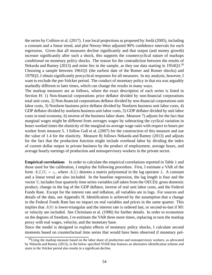the series by [Coibion et al.](#page-34-0) [\(2017\)](#page-34-0). I use local projections as proposed by [Jord`a \(2005](#page-35-14)), including a constant and a linear trend, and plot Newey-West adjusted 90% confidence intervals for each regression. Given that all measures decline significantly and that output (and money growth) increase significantly after such a shock, this supports the countercyclical nature of markups *conditional* on monetary policy shocks. The reason for the contradiction between the results of [Nekarda and Ramey](#page-36-2) [\(2013\)](#page-36-2) and mine lies in the sample, as they use data starting in 1954Q3.<sup>[28](#page-56-0)</sup> Choosing a sample between 1961Q1 (the earliest date of the Romer and Romer shocks) and 1979Q3, I obtain significantly procyclical responses for all measures. In my analysis, however, I want to exclude the pre-Volcker period. The conduct of monetary policy in that era was arguably markedly different to later times, which can change the results in many ways.

The markup measures are as follows, where the exact description of each series is listed in Section [H:](#page-57-0) 1) Non-financial corporations price deflator divided by non-financial corporations total unit costs, 2) Non-financial corporations deflator divided by non-financial corporations unit labor costs, 3) Nonfarm business price deflator divided by Nonfarm business unit labor costs, 4) GDP deflator divided by nonfarm business unit labor costs, 5) GDP deflator divided by unit labor costs in total economy, 6) inverse of the business labor share. Measure 7) adjusts for the fact that marginal wages might be different from averages wages by subtracting the cyclical variation in hours worked times the elasticity of the marginal-to-average wage ratio with respect to hours per worker from measure 5. I follow Galí et al. (2007) for the construction of this measure and use the value of 1.4 for the elasticity. Measure 8) follows [Nekarda and Ramey](#page-36-2) [\(2013\)](#page-36-2) and adjusts for the fact that the production function might include overhead labor by dividing the index of current dollar output in private business by the product of employment, average hours, and average hourly earnings of production and nonsupervisory workers in the private sector.

**Empirical correlations** In order to calculate the empirical correlations reported in Table [1](#page-25-1) and those used for the calibration, I employ the following procedure. First, I estimate a VAR of the form  $A(L)Y_t = \epsilon_t$ , where  $A(L)$  denotes a matrix polynomial in the lag operator L. A constant and a linear trend are also included. In the baseline regression, the lag length is four and the vector  $Y_t$  includes four quarterly time series variables (all taken from the OECD): gross domestic product, change in the log of the GDP deflator, inverse of real unit labor costs, and the Federal Funds Rate. Except for the interest rate and inflation, all variables are in logs. For sources and details of the data, see Appendix [H.](#page-57-0) Identification is achieved by the assumption that a change in the Federal Funds Rate has no impact on real variables and prices in the same quarter. This implies that  $A(0)$  is lower-triangular and the interest rate is ordered last, or second-to-last if M1 or velocity are included. See [Christiano et al. \(1996](#page-34-5)) for further details. In order to economize on the degrees of freedom, I re-estimate the VAR three more times, replacing in turn the markup proxy with real wages, velocity, and the monetary base.

Since the model is designed to explain effects of monetary policy shocks, I calculate second moments based on counterfactual time series that would have been observed if monetary pol-

<span id="page-56-0"></span><sup>&</sup>lt;sup>28</sup>Using the markup measure based on the labor share of production and nonsupervisory workers, as advocated by [Nekarda and Ramey \(2013\)](#page-36-2), in the below specified SVAR that features an alternative identification scheme and starts in the Volcker period also results in a significant decline.